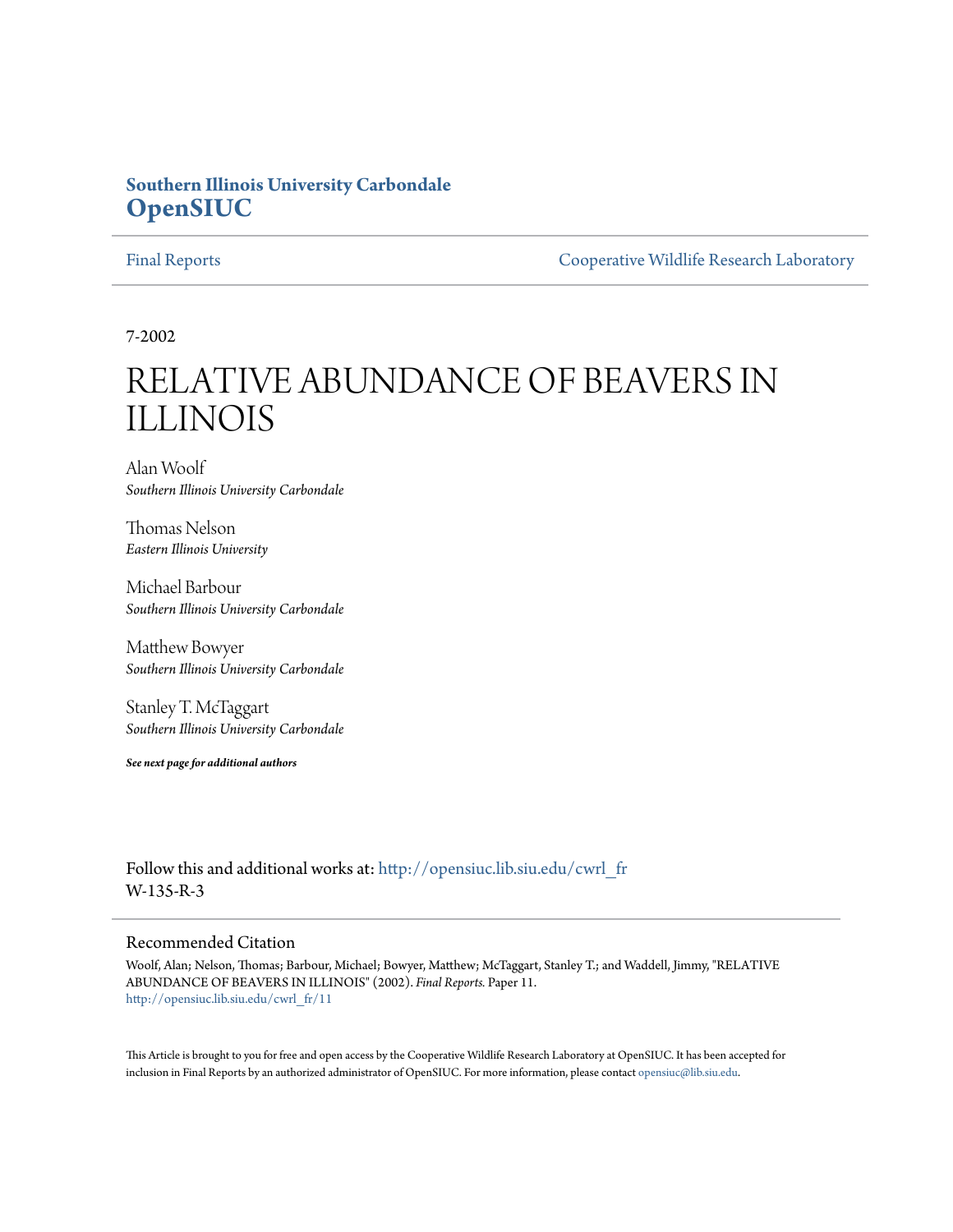### **Southern Illinois University Carbondale [OpenSIUC](http://opensiuc.lib.siu.edu?utm_source=opensiuc.lib.siu.edu%2Fcwrl_fr%2F11&utm_medium=PDF&utm_campaign=PDFCoverPages)**

[Final Reports](http://opensiuc.lib.siu.edu/cwrl_fr?utm_source=opensiuc.lib.siu.edu%2Fcwrl_fr%2F11&utm_medium=PDF&utm_campaign=PDFCoverPages) [Cooperative Wildlife Research Laboratory](http://opensiuc.lib.siu.edu/cwrl?utm_source=opensiuc.lib.siu.edu%2Fcwrl_fr%2F11&utm_medium=PDF&utm_campaign=PDFCoverPages)

7-2002

# RELATIVE ABUNDANCE OF BEAVERS IN ILLINOIS

Alan Woolf *Southern Illinois University Carbondale*

Thomas Nelson *Eastern Illinois University*

Michael Barbour *Southern Illinois University Carbondale*

Matthew Bowyer *Southern Illinois University Carbondale*

Stanley T. McTaggart *Southern Illinois University Carbondale*

*See next page for additional authors*

Follow this and additional works at: [http://opensiuc.lib.siu.edu/cwrl\\_fr](http://opensiuc.lib.siu.edu/cwrl_fr?utm_source=opensiuc.lib.siu.edu%2Fcwrl_fr%2F11&utm_medium=PDF&utm_campaign=PDFCoverPages) W-135-R-3

### Recommended Citation

Woolf, Alan; Nelson, Thomas; Barbour, Michael; Bowyer, Matthew; McTaggart, Stanley T.; and Waddell, Jimmy, "RELATIVE ABUNDANCE OF BEAVERS IN ILLINOIS" (2002). *Final Reports.* Paper 11. [http://opensiuc.lib.siu.edu/cwrl\\_fr/11](http://opensiuc.lib.siu.edu/cwrl_fr/11?utm_source=opensiuc.lib.siu.edu%2Fcwrl_fr%2F11&utm_medium=PDF&utm_campaign=PDFCoverPages)

This Article is brought to you for free and open access by the Cooperative Wildlife Research Laboratory at OpenSIUC. It has been accepted for inclusion in Final Reports by an authorized administrator of OpenSIUC. For more information, please contact [opensiuc@lib.siu.edu](mailto:opensiuc@lib.siu.edu).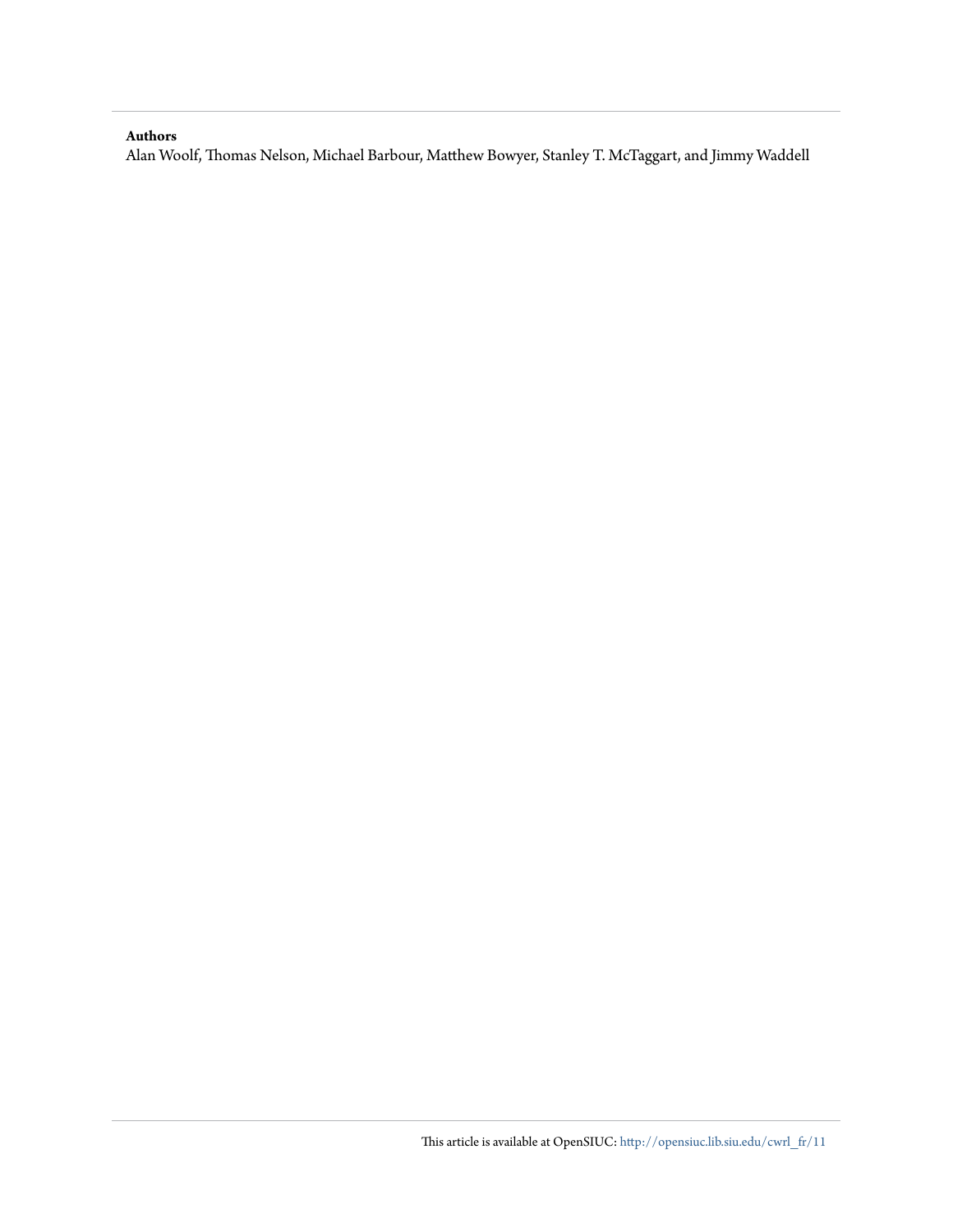### **Authors**

Alan Woolf, Thomas Nelson, Michael Barbour, Matthew Bowyer, Stanley T. McTaggart, and Jimmy Waddell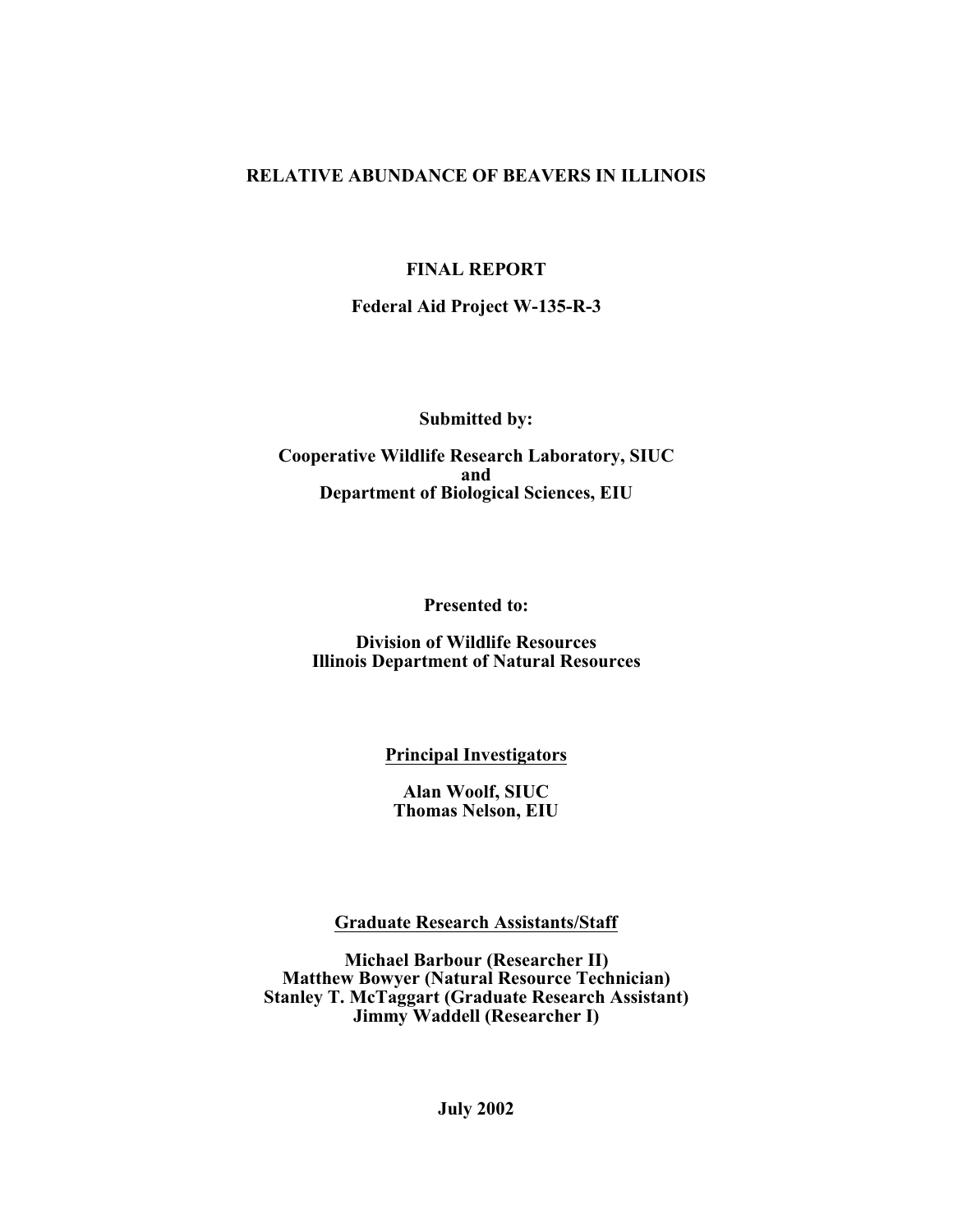### **RELATIVE ABUNDANCE OF BEAVERS IN ILLINOIS**

### **FINAL REPORT**

**Federal Aid Project W-135-R-3**

**Submitted by:**

**Cooperative Wildlife Research Laboratory, SIUC and Department of Biological Sciences, EIU**

**Presented to:**

**Division of Wildlife Resources Illinois Department of Natural Resources**

**Principal Investigators**

**Alan Woolf, SIUC Thomas Nelson, EIU**

**Graduate Research Assistants/Staff**

**Michael Barbour (Researcher II) Matthew Bowyer (Natural Resource Technician) Stanley T. McTaggart (Graduate Research Assistant) Jimmy Waddell (Researcher I)**

**July 2002**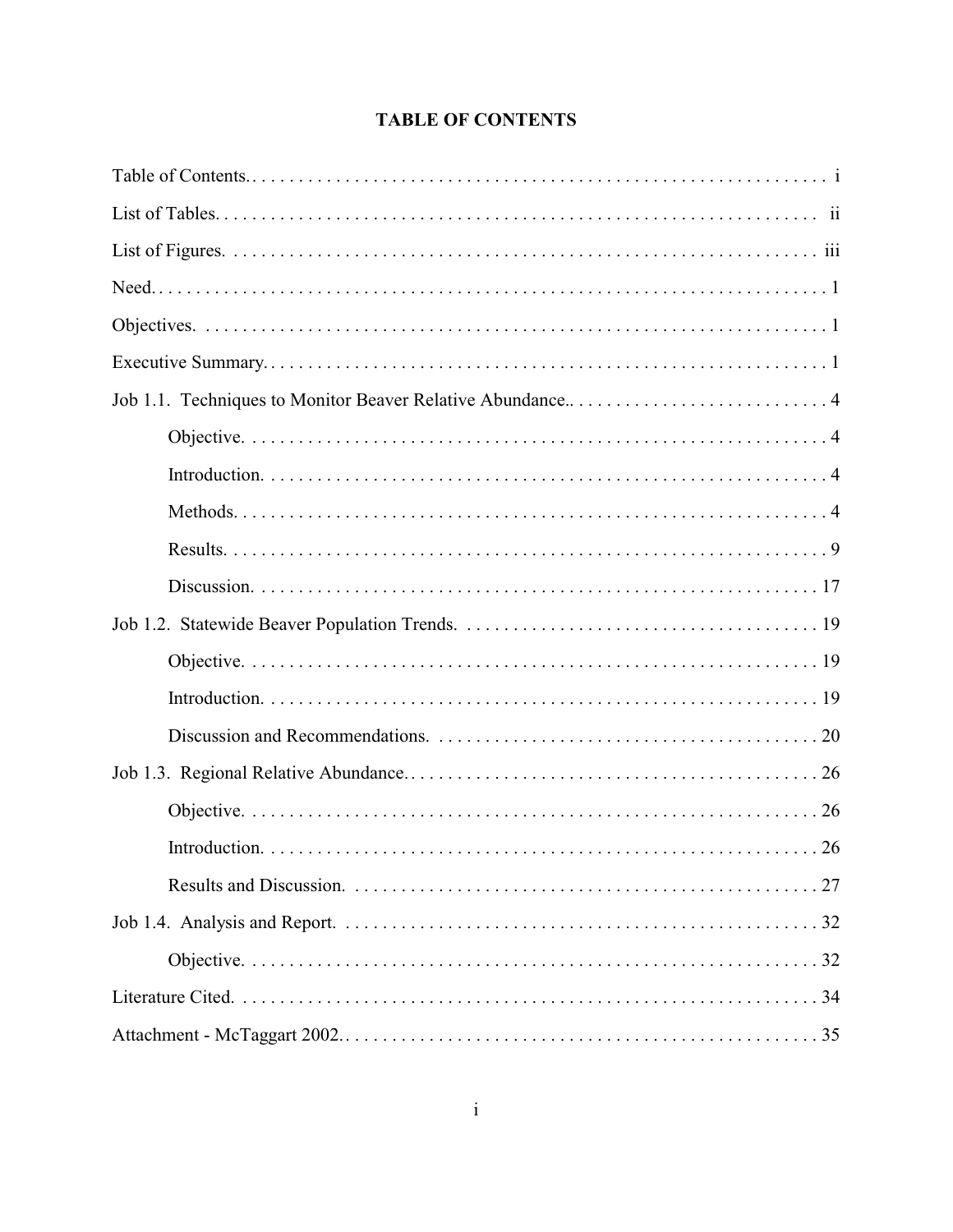### **TABLE OF CONTENTS**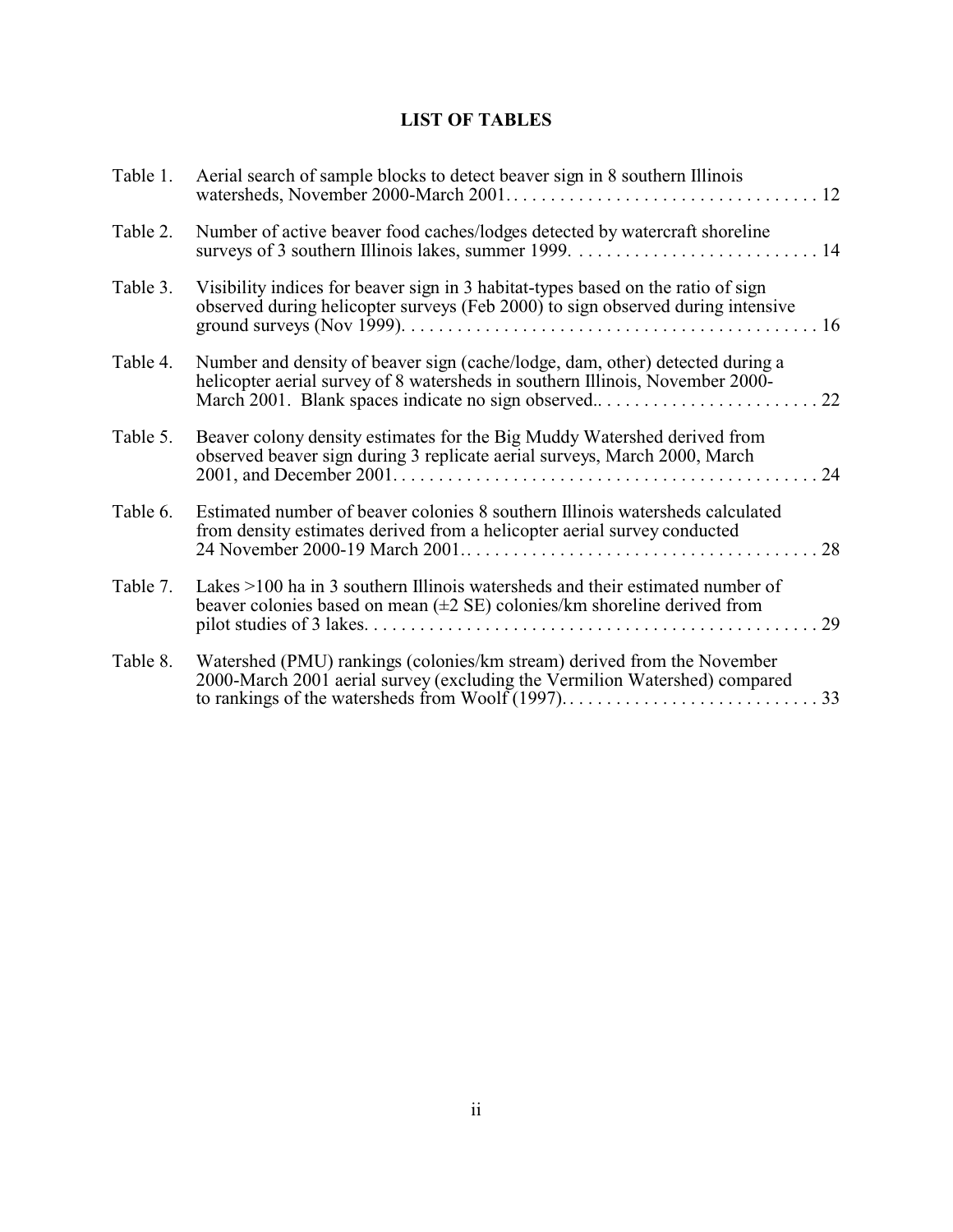### **LIST OF TABLES**

| Table 1. | Aerial search of sample blocks to detect beaver sign in 8 southern Illinois                                                                                                    |
|----------|--------------------------------------------------------------------------------------------------------------------------------------------------------------------------------|
| Table 2. | Number of active beaver food caches/lodges detected by watercraft shoreline                                                                                                    |
| Table 3. | Visibility indices for beaver sign in 3 habitat-types based on the ratio of sign<br>observed during helicopter surveys (Feb 2000) to sign observed during intensive            |
| Table 4. | Number and density of beaver sign (cache/lodge, dam, other) detected during a<br>helicopter aerial survey of 8 watersheds in southern Illinois, November 2000-                 |
| Table 5. | Beaver colony density estimates for the Big Muddy Watershed derived from<br>observed beaver sign during 3 replicate aerial surveys, March 2000, March                          |
| Table 6. | Estimated number of beaver colonies 8 southern Illinois watersheds calculated<br>from density estimates derived from a helicopter aerial survey conducted                      |
| Table 7. | Lakes $>100$ ha in 3 southern Illinois watersheds and their estimated number of<br>beaver colonies based on mean $(\pm 2 \text{ SE})$ colonies/km shoreline derived from<br>29 |
| Table 8. | Watershed (PMU) rankings (colonies/km stream) derived from the November<br>2000-March 2001 aerial survey (excluding the Vermilion Watershed) compared                          |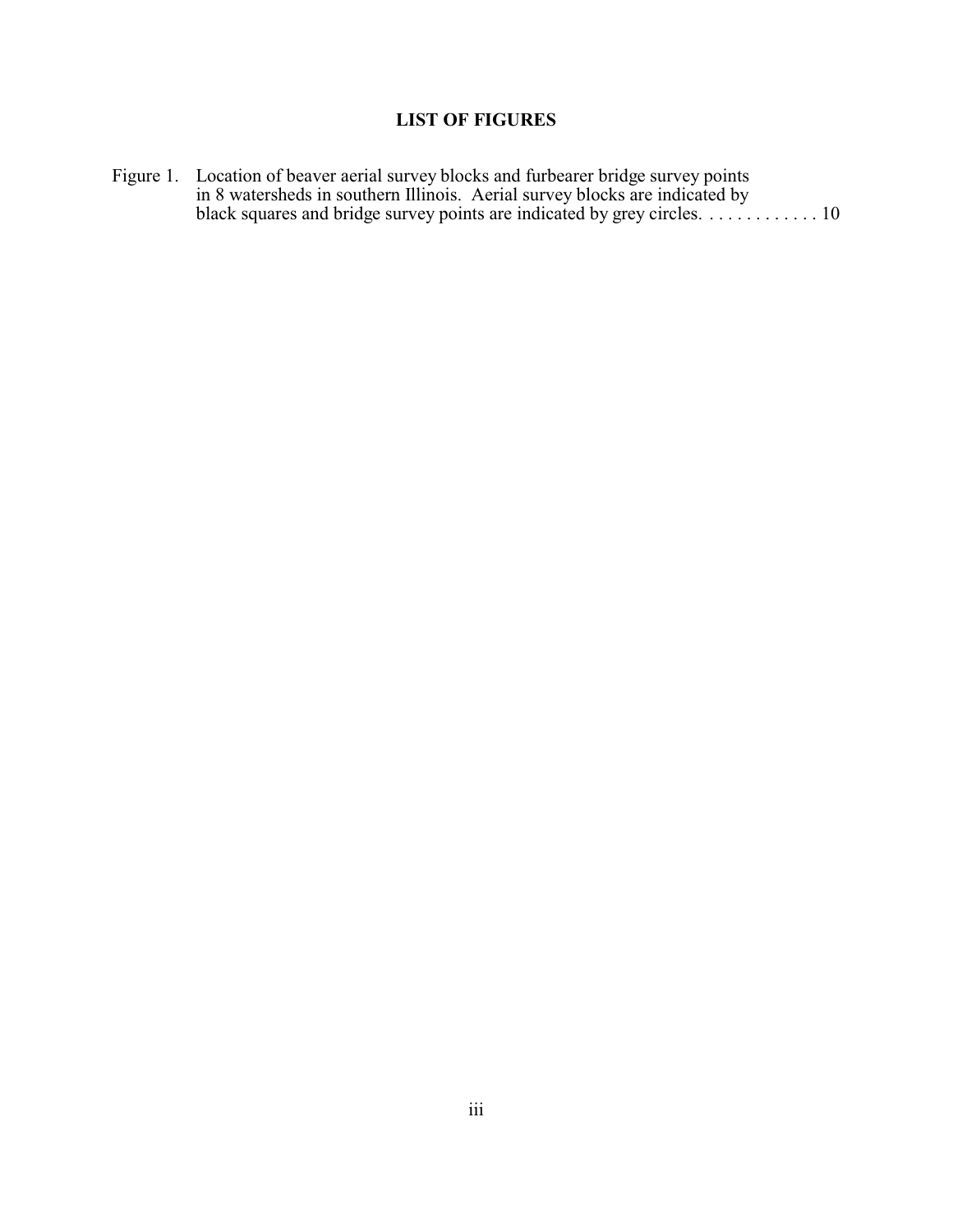### **LIST OF FIGURES**

| Figure 1. Location of beaver aerial survey blocks and furbearer bridge survey points                  |  |
|-------------------------------------------------------------------------------------------------------|--|
| in 8 watersheds in southern Illinois. Aerial survey blocks are indicated by                           |  |
| black squares and bridge survey points are indicated by grey circles. $\dots \dots \dots \dots \dots$ |  |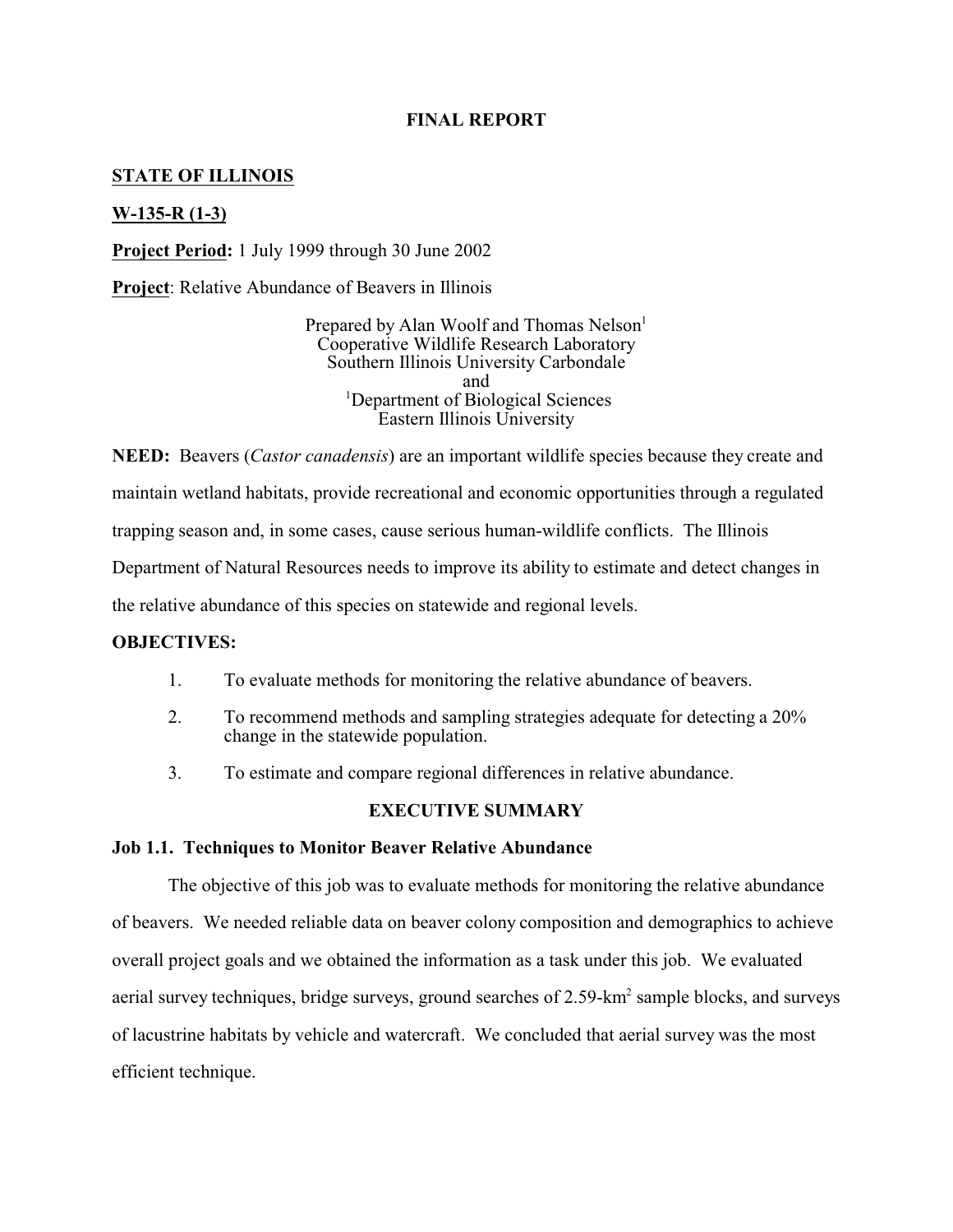### **FINAL REPORT**

### **STATE OF ILLINOIS**

### **W-135-R (1-3)**

### **Project Period:** 1 July 1999 through 30 June 2002

**Project**: Relative Abundance of Beavers in Illinois

Prepared by Alan Woolf and Thomas Nelson<sup>1</sup> Cooperative Wildlife Research Laboratory Southern Illinois University Carbondale and <sup>1</sup>Department of Biological Sciences Eastern Illinois University

**NEED:** Beavers (*Castor canadensis*) are an important wildlife species because they create and maintain wetland habitats, provide recreational and economic opportunities through a regulated trapping season and, in some cases, cause serious human-wildlife conflicts. The Illinois Department of Natural Resources needs to improve its ability to estimate and detect changes in the relative abundance of this species on statewide and regional levels.

### **OBJECTIVES:**

- 1. To evaluate methods for monitoring the relative abundance of beavers.
- 2. To recommend methods and sampling strategies adequate for detecting a 20% change in the statewide population.
- 3. To estimate and compare regional differences in relative abundance.

### **EXECUTIVE SUMMARY**

### **Job 1.1. Techniques to Monitor Beaver Relative Abundance**

The objective of this job was to evaluate methods for monitoring the relative abundance of beavers. We needed reliable data on beaver colony composition and demographics to achieve overall project goals and we obtained the information as a task under this job. We evaluated aerial survey techniques, bridge surveys, ground searches of 2.59-km<sup>2</sup> sample blocks, and surveys of lacustrine habitats by vehicle and watercraft. We concluded that aerial survey was the most efficient technique.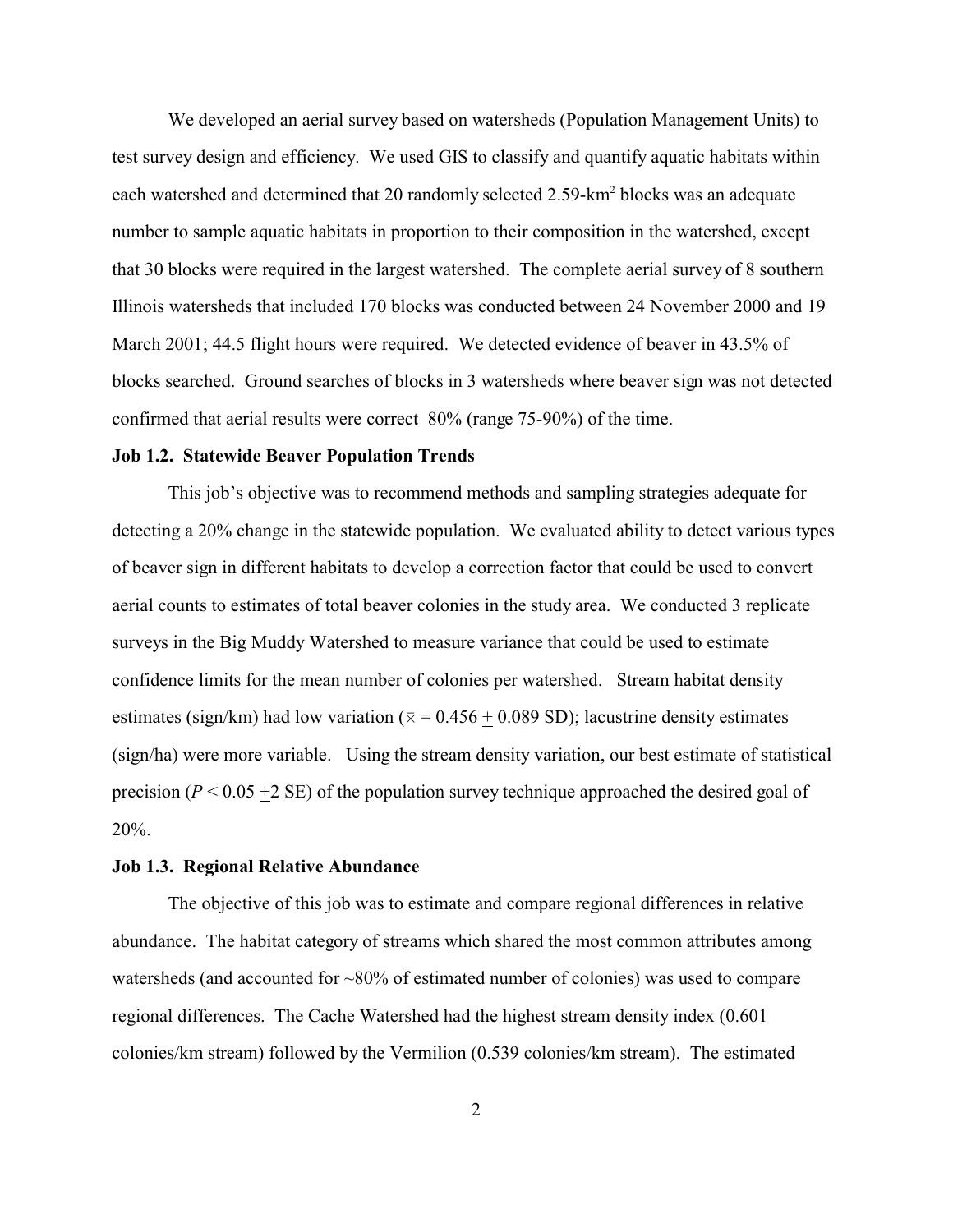We developed an aerial survey based on watersheds (Population Management Units) to test survey design and efficiency. We used GIS to classify and quantify aquatic habitats within each watershed and determined that 20 randomly selected 2.59-km<sup>2</sup> blocks was an adequate number to sample aquatic habitats in proportion to their composition in the watershed, except that 30 blocks were required in the largest watershed. The complete aerial survey of 8 southern Illinois watersheds that included 170 blocks was conducted between 24 November 2000 and 19 March 2001; 44.5 flight hours were required. We detected evidence of beaver in 43.5% of blocks searched. Ground searches of blocks in 3 watersheds where beaver sign was not detected confirmed that aerial results were correct 80% (range 75-90%) of the time.

### **Job 1.2. Statewide Beaver Population Trends**

This job's objective was to recommend methods and sampling strategies adequate for detecting a 20% change in the statewide population. We evaluated ability to detect various types of beaver sign in different habitats to develop a correction factor that could be used to convert aerial counts to estimates of total beaver colonies in the study area. We conducted 3 replicate surveys in the Big Muddy Watershed to measure variance that could be used to estimate confidence limits for the mean number of colonies per watershed. Stream habitat density estimates (sign/km) had low variation ( $\bar{x} = 0.456 + 0.089$  SD); lacustrine density estimates (sign/ha) were more variable. Using the stream density variation, our best estimate of statistical precision  $(P < 0.05 + 2 \text{ SE})$  of the population survey technique approached the desired goal of 20%.

### **Job 1.3. Regional Relative Abundance**

The objective of this job was to estimate and compare regional differences in relative abundance. The habitat category of streams which shared the most common attributes among watersheds (and accounted for ~80% of estimated number of colonies) was used to compare regional differences. The Cache Watershed had the highest stream density index (0.601 colonies/km stream) followed by the Vermilion (0.539 colonies/km stream). The estimated

2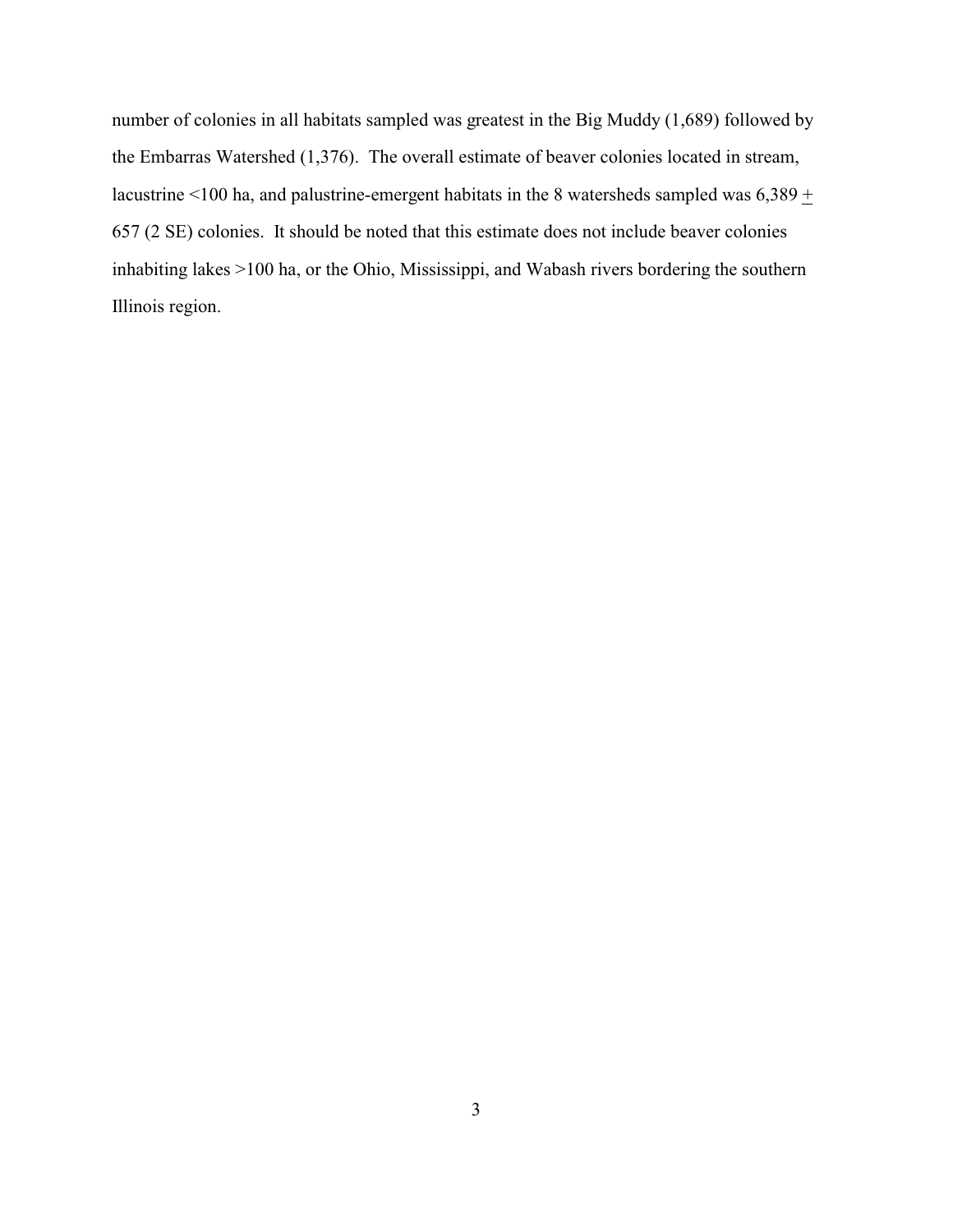number of colonies in all habitats sampled was greatest in the Big Muddy (1,689) followed by the Embarras Watershed (1,376). The overall estimate of beaver colonies located in stream, lacustrine <100 ha, and palustrine-emergent habitats in the 8 watersheds sampled was  $6,389 \pm$ 657 (2 SE) colonies. It should be noted that this estimate does not include beaver colonies inhabiting lakes >100 ha, or the Ohio, Mississippi, and Wabash rivers bordering the southern Illinois region.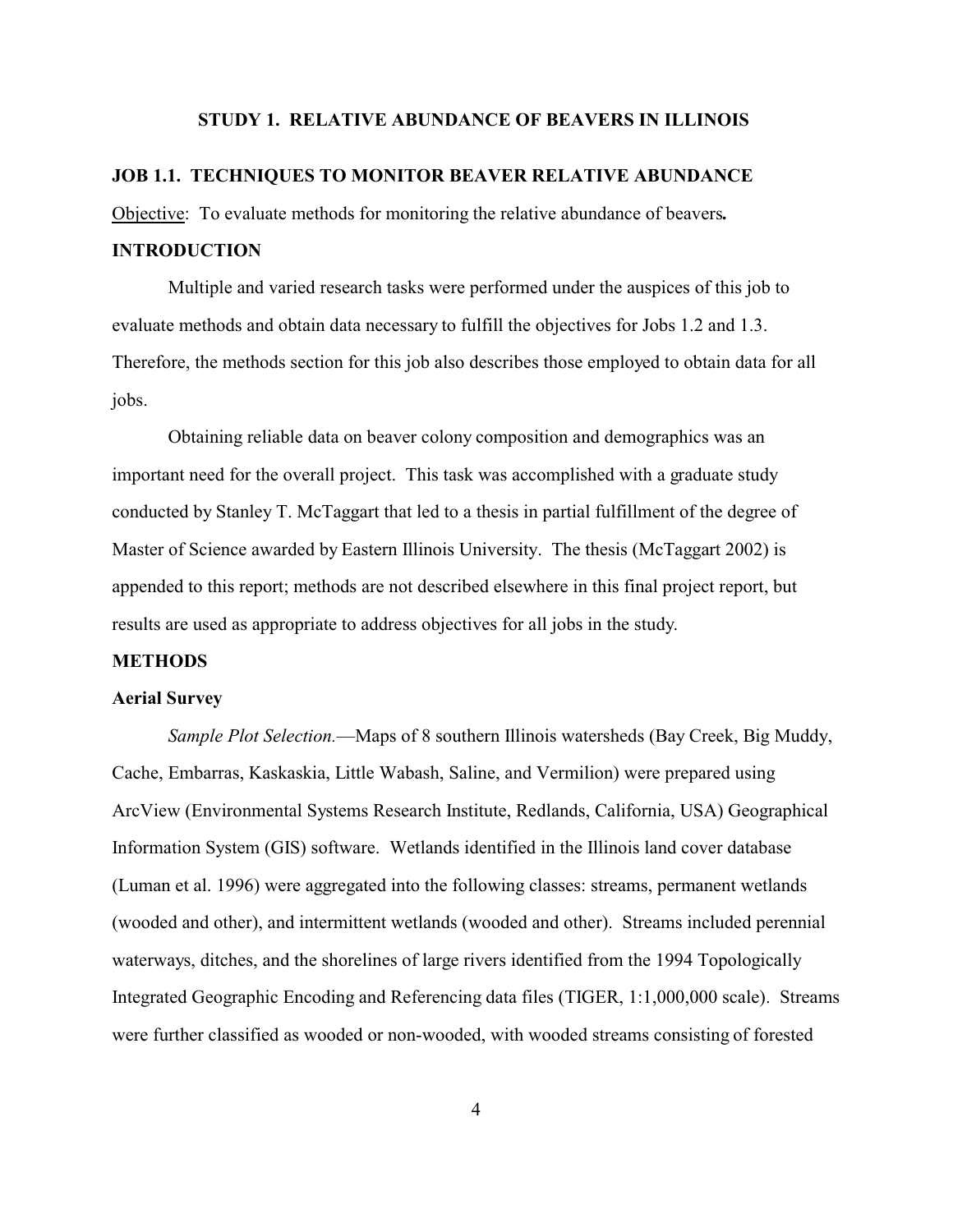### **STUDY 1. RELATIVE ABUNDANCE OF BEAVERS IN ILLINOIS**

### **JOB 1.1. TECHNIQUES TO MONITOR BEAVER RELATIVE ABUNDANCE**

Objective: To evaluate methods for monitoring the relative abundance of beavers**.**

### **INTRODUCTION**

Multiple and varied research tasks were performed under the auspices of this job to evaluate methods and obtain data necessary to fulfill the objectives for Jobs 1.2 and 1.3. Therefore, the methods section for this job also describes those employed to obtain data for all jobs.

Obtaining reliable data on beaver colony composition and demographics was an important need for the overall project. This task was accomplished with a graduate study conducted by Stanley T. McTaggart that led to a thesis in partial fulfillment of the degree of Master of Science awarded by Eastern Illinois University. The thesis (McTaggart 2002) is appended to this report; methods are not described elsewhere in this final project report, but results are used as appropriate to address objectives for all jobs in the study.

### **METHODS**

#### **Aerial Survey**

*Sample Plot Selection.*—Maps of 8 southern Illinois watersheds (Bay Creek, Big Muddy, Cache, Embarras, Kaskaskia, Little Wabash, Saline, and Vermilion) were prepared using ArcView (Environmental Systems Research Institute, Redlands, California, USA) Geographical Information System (GIS) software. Wetlands identified in the Illinois land cover database (Luman et al. 1996) were aggregated into the following classes: streams, permanent wetlands (wooded and other), and intermittent wetlands (wooded and other). Streams included perennial waterways, ditches, and the shorelines of large rivers identified from the 1994 Topologically Integrated Geographic Encoding and Referencing data files (TIGER, 1:1,000,000 scale). Streams were further classified as wooded or non-wooded, with wooded streams consisting of forested

4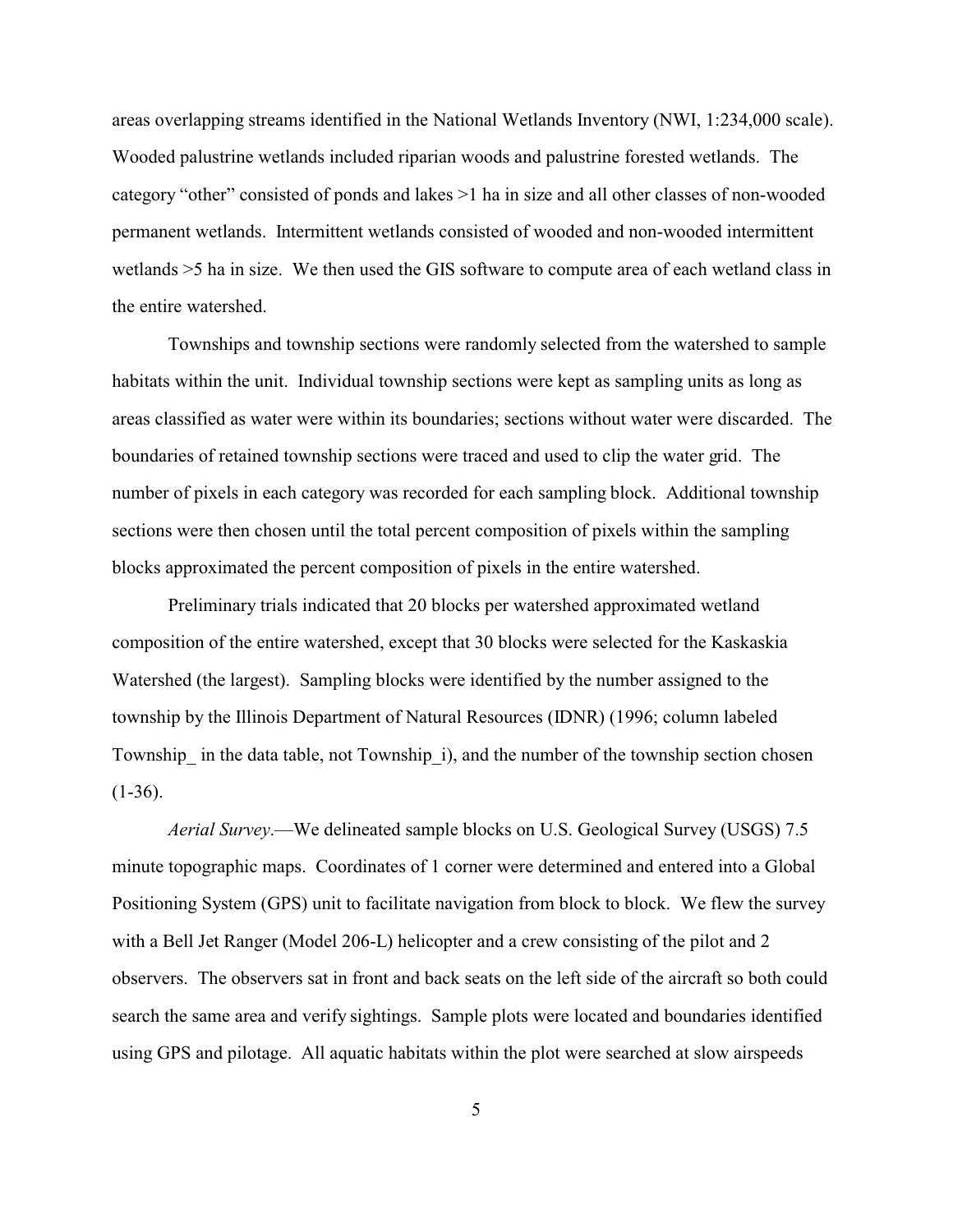areas overlapping streams identified in the National Wetlands Inventory (NWI, 1:234,000 scale). Wooded palustrine wetlands included riparian woods and palustrine forested wetlands. The category "other" consisted of ponds and lakes >1 ha in size and all other classes of non-wooded permanent wetlands. Intermittent wetlands consisted of wooded and non-wooded intermittent wetlands >5 ha in size. We then used the GIS software to compute area of each wetland class in the entire watershed.

Townships and township sections were randomly selected from the watershed to sample habitats within the unit. Individual township sections were kept as sampling units as long as areas classified as water were within its boundaries; sections without water were discarded. The boundaries of retained township sections were traced and used to clip the water grid. The number of pixels in each category was recorded for each sampling block. Additional township sections were then chosen until the total percent composition of pixels within the sampling blocks approximated the percent composition of pixels in the entire watershed.

Preliminary trials indicated that 20 blocks per watershed approximated wetland composition of the entire watershed, except that 30 blocks were selected for the Kaskaskia Watershed (the largest). Sampling blocks were identified by the number assigned to the township by the Illinois Department of Natural Resources (IDNR) (1996; column labeled Township in the data table, not Township i), and the number of the township section chosen  $(1-36)$ .

*Aerial Survey*.—We delineated sample blocks on U.S. Geological Survey (USGS) 7.5 minute topographic maps. Coordinates of 1 corner were determined and entered into a Global Positioning System (GPS) unit to facilitate navigation from block to block. We flew the survey with a Bell Jet Ranger (Model 206-L) helicopter and a crew consisting of the pilot and 2 observers. The observers sat in front and back seats on the left side of the aircraft so both could search the same area and verify sightings. Sample plots were located and boundaries identified using GPS and pilotage. All aquatic habitats within the plot were searched at slow airspeeds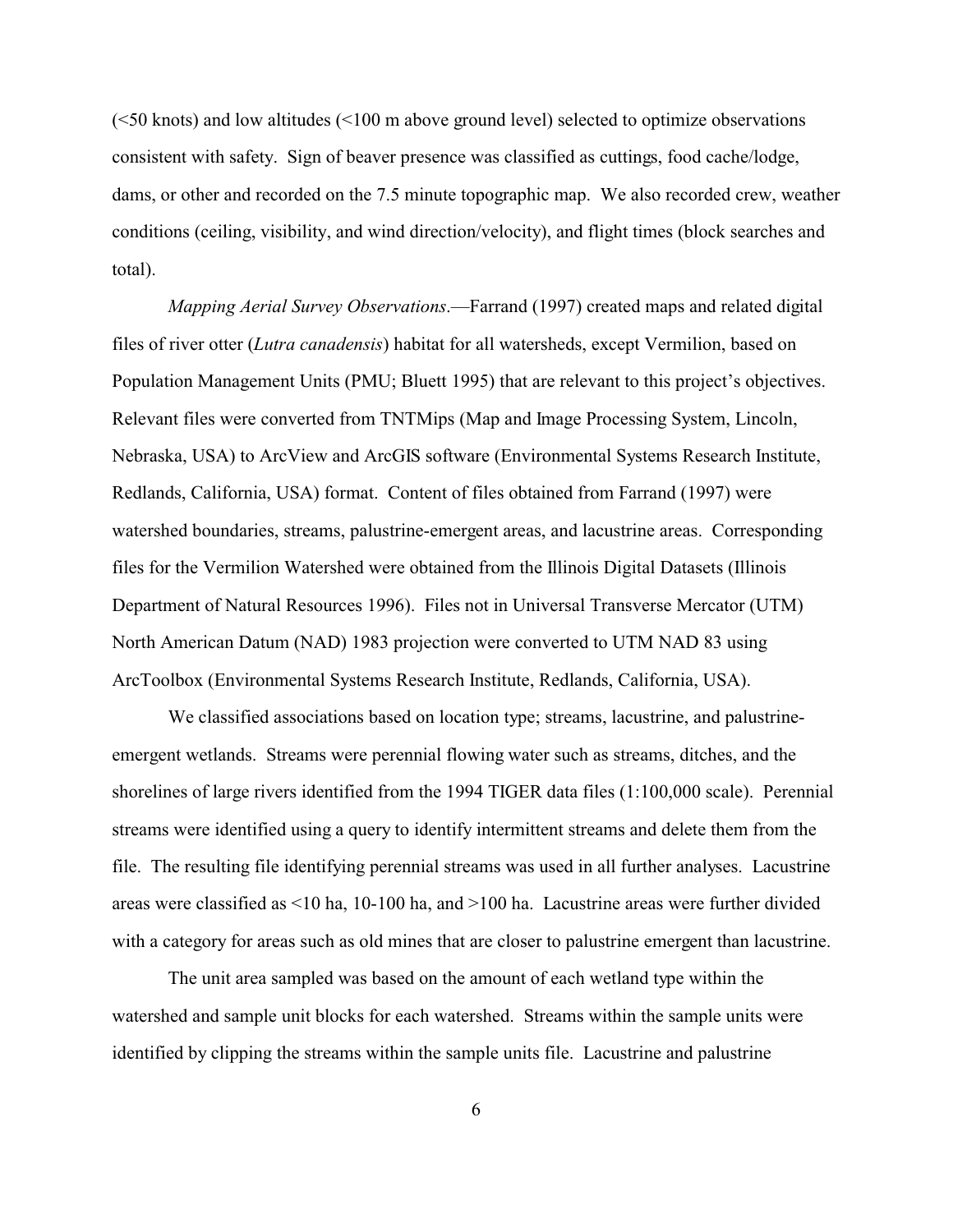(<50 knots) and low altitudes (<100 m above ground level) selected to optimize observations consistent with safety. Sign of beaver presence was classified as cuttings, food cache/lodge, dams, or other and recorded on the 7.5 minute topographic map. We also recorded crew, weather conditions (ceiling, visibility, and wind direction/velocity), and flight times (block searches and total).

*Mapping Aerial Survey Observations*.—Farrand (1997) created maps and related digital files of river otter (*Lutra canadensis*) habitat for all watersheds, except Vermilion, based on Population Management Units (PMU; Bluett 1995) that are relevant to this project's objectives. Relevant files were converted from TNTMips (Map and Image Processing System, Lincoln, Nebraska, USA) to ArcView and ArcGIS software (Environmental Systems Research Institute, Redlands, California, USA) format. Content of files obtained from Farrand (1997) were watershed boundaries, streams, palustrine-emergent areas, and lacustrine areas. Corresponding files for the Vermilion Watershed were obtained from the Illinois Digital Datasets (Illinois Department of Natural Resources 1996). Files not in Universal Transverse Mercator (UTM) North American Datum (NAD) 1983 projection were converted to UTM NAD 83 using ArcToolbox (Environmental Systems Research Institute, Redlands, California, USA).

We classified associations based on location type; streams, lacustrine, and palustrineemergent wetlands. Streams were perennial flowing water such as streams, ditches, and the shorelines of large rivers identified from the 1994 TIGER data files (1:100,000 scale). Perennial streams were identified using a query to identify intermittent streams and delete them from the file. The resulting file identifying perennial streams was used in all further analyses. Lacustrine areas were classified as <10 ha, 10-100 ha, and >100 ha. Lacustrine areas were further divided with a category for areas such as old mines that are closer to palustrine emergent than lacustrine.

The unit area sampled was based on the amount of each wetland type within the watershed and sample unit blocks for each watershed. Streams within the sample units were identified by clipping the streams within the sample units file. Lacustrine and palustrine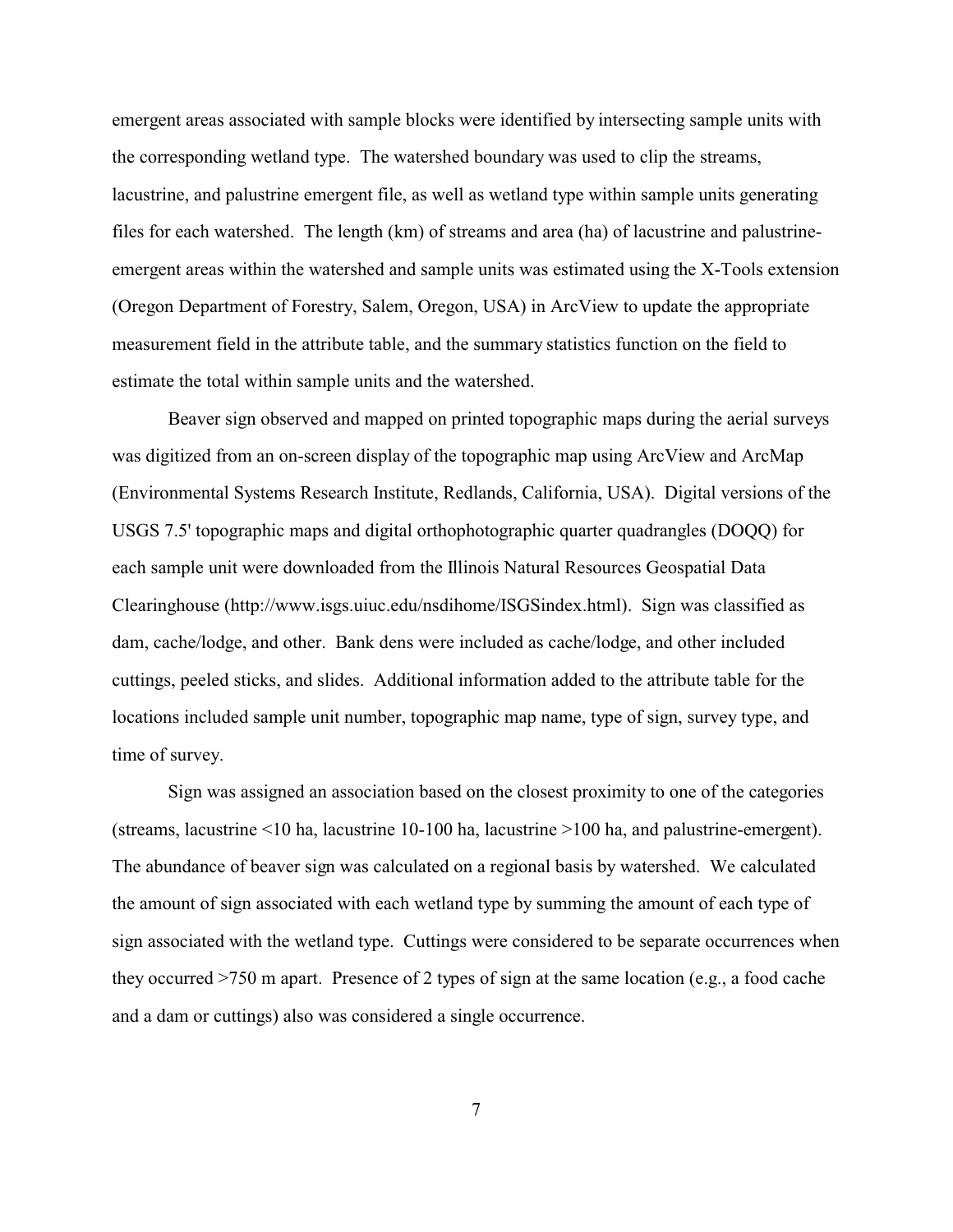emergent areas associated with sample blocks were identified by intersecting sample units with the corresponding wetland type. The watershed boundary was used to clip the streams, lacustrine, and palustrine emergent file, as well as wetland type within sample units generating files for each watershed. The length (km) of streams and area (ha) of lacustrine and palustrineemergent areas within the watershed and sample units was estimated using the X-Tools extension (Oregon Department of Forestry, Salem, Oregon, USA) in ArcView to update the appropriate measurement field in the attribute table, and the summary statistics function on the field to estimate the total within sample units and the watershed.

Beaver sign observed and mapped on printed topographic maps during the aerial surveys was digitized from an on-screen display of the topographic map using ArcView and ArcMap (Environmental Systems Research Institute, Redlands, California, USA). Digital versions of the USGS 7.5' topographic maps and digital orthophotographic quarter quadrangles (DOQQ) for each sample unit were downloaded from the Illinois Natural Resources Geospatial Data Clearinghouse (http://www.isgs.uiuc.edu/nsdihome/ISGSindex.html). Sign was classified as dam, cache/lodge, and other. Bank dens were included as cache/lodge, and other included cuttings, peeled sticks, and slides. Additional information added to the attribute table for the locations included sample unit number, topographic map name, type of sign, survey type, and time of survey.

Sign was assigned an association based on the closest proximity to one of the categories (streams, lacustrine <10 ha, lacustrine 10-100 ha, lacustrine >100 ha, and palustrine-emergent). The abundance of beaver sign was calculated on a regional basis by watershed. We calculated the amount of sign associated with each wetland type by summing the amount of each type of sign associated with the wetland type. Cuttings were considered to be separate occurrences when they occurred >750 m apart. Presence of 2 types of sign at the same location (e.g., a food cache and a dam or cuttings) also was considered a single occurrence.

7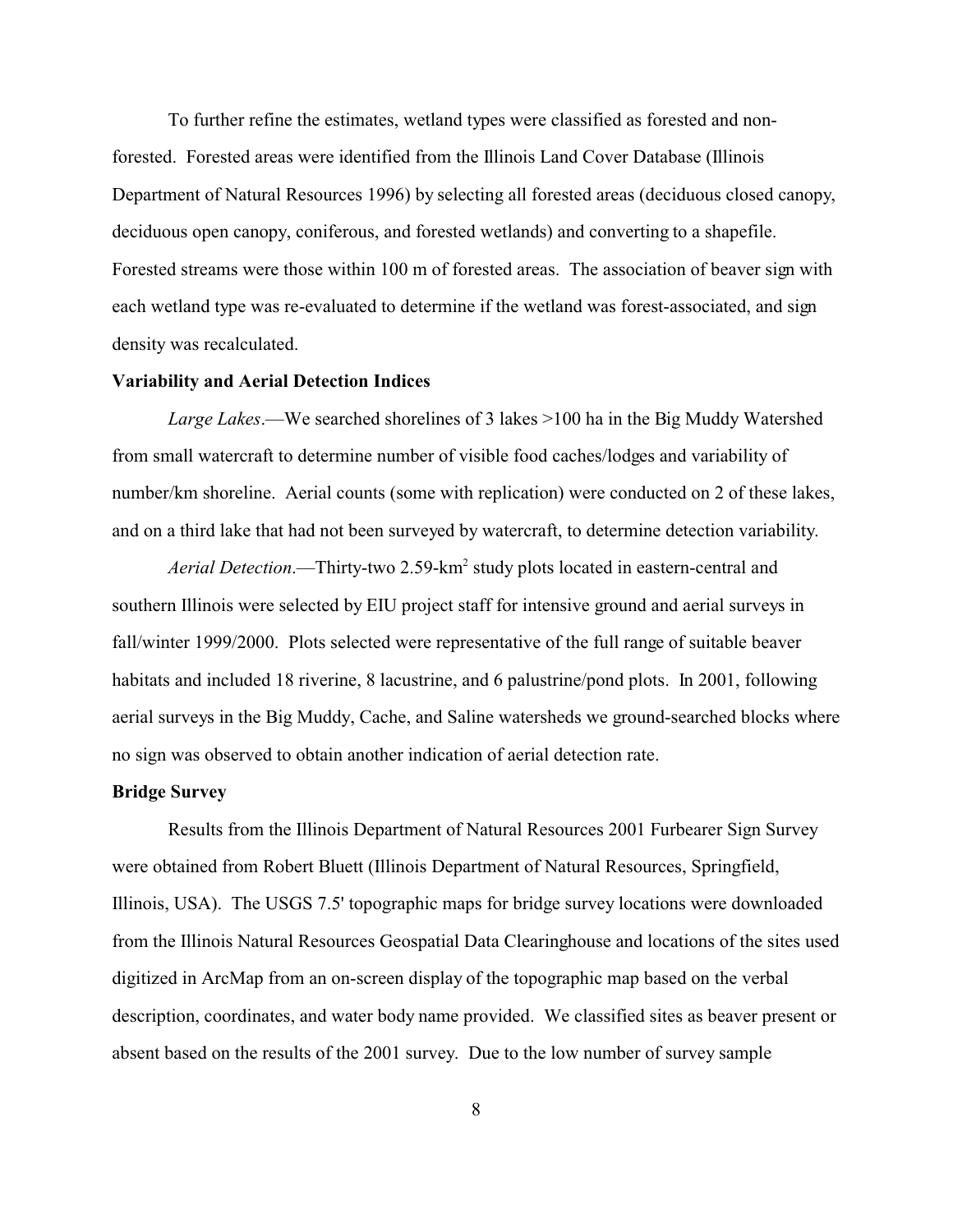To further refine the estimates, wetland types were classified as forested and nonforested. Forested areas were identified from the Illinois Land Cover Database (Illinois Department of Natural Resources 1996) by selecting all forested areas (deciduous closed canopy, deciduous open canopy, coniferous, and forested wetlands) and converting to a shapefile. Forested streams were those within 100 m of forested areas. The association of beaver sign with each wetland type was re-evaluated to determine if the wetland was forest-associated, and sign density was recalculated.

#### **Variability and Aerial Detection Indices**

*Large Lakes*.—We searched shorelines of 3 lakes >100 ha in the Big Muddy Watershed from small watercraft to determine number of visible food caches/lodges and variability of number/km shoreline. Aerial counts (some with replication) were conducted on 2 of these lakes, and on a third lake that had not been surveyed by watercraft, to determine detection variability.

Aerial Detection.—Thirty-two 2.59-km<sup>2</sup> study plots located in eastern-central and southern Illinois were selected by EIU project staff for intensive ground and aerial surveys in fall/winter 1999/2000. Plots selected were representative of the full range of suitable beaver habitats and included 18 riverine, 8 lacustrine, and 6 palustrine/pond plots. In 2001, following aerial surveys in the Big Muddy, Cache, and Saline watersheds we ground-searched blocks where no sign was observed to obtain another indication of aerial detection rate.

### **Bridge Survey**

Results from the Illinois Department of Natural Resources 2001 Furbearer Sign Survey were obtained from Robert Bluett (Illinois Department of Natural Resources, Springfield, Illinois, USA). The USGS 7.5' topographic maps for bridge survey locations were downloaded from the Illinois Natural Resources Geospatial Data Clearinghouse and locations of the sites used digitized in ArcMap from an on-screen display of the topographic map based on the verbal description, coordinates, and water body name provided. We classified sites as beaver present or absent based on the results of the 2001 survey. Due to the low number of survey sample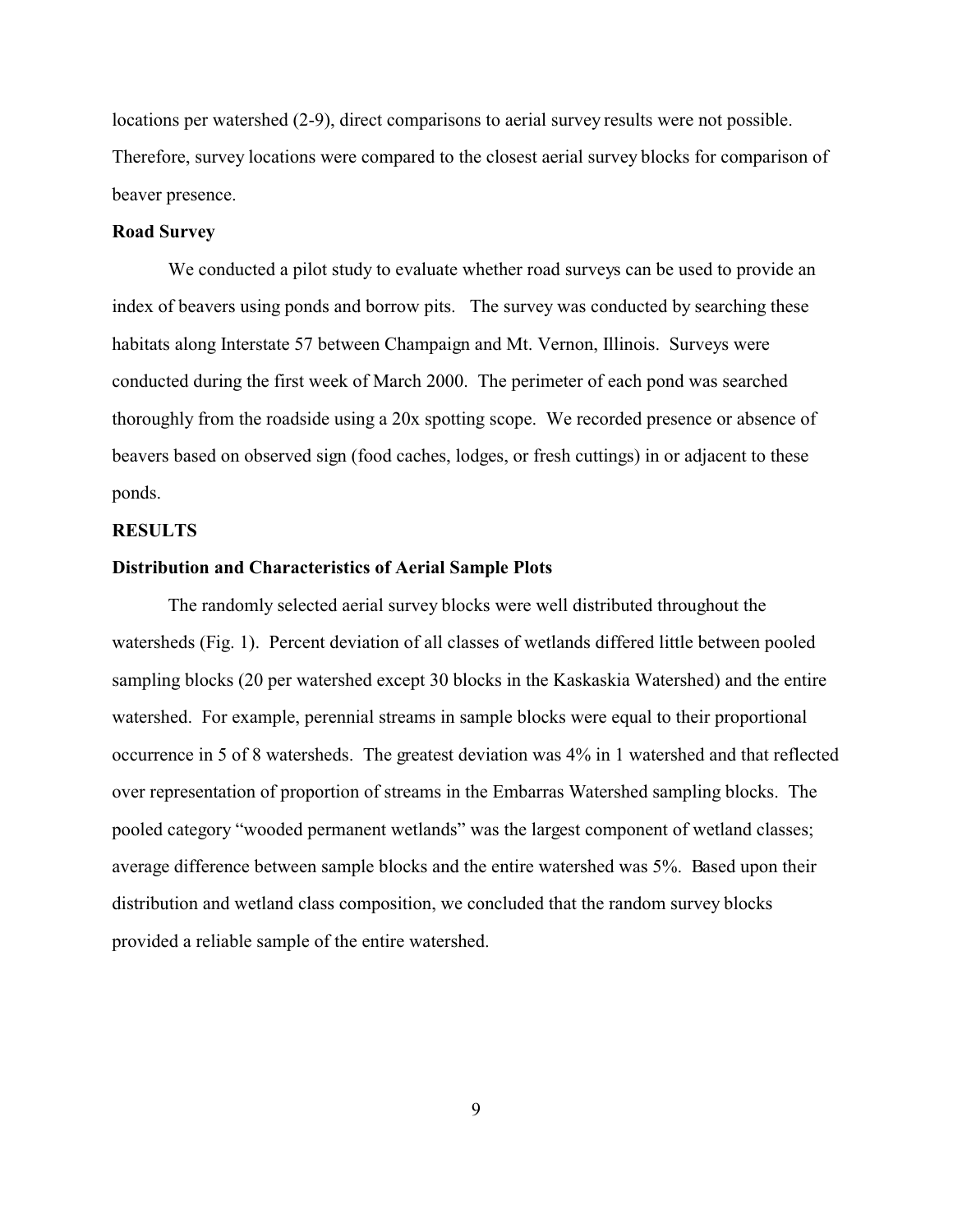locations per watershed (2-9), direct comparisons to aerial survey results were not possible. Therefore, survey locations were compared to the closest aerial survey blocks for comparison of beaver presence.

### **Road Survey**

We conducted a pilot study to evaluate whether road surveys can be used to provide an index of beavers using ponds and borrow pits. The survey was conducted by searching these habitats along Interstate 57 between Champaign and Mt. Vernon, Illinois. Surveys were conducted during the first week of March 2000. The perimeter of each pond was searched thoroughly from the roadside using a 20x spotting scope. We recorded presence or absence of beavers based on observed sign (food caches, lodges, or fresh cuttings) in or adjacent to these ponds.

### **RESULTS**

### **Distribution and Characteristics of Aerial Sample Plots**

The randomly selected aerial survey blocks were well distributed throughout the watersheds (Fig. 1). Percent deviation of all classes of wetlands differed little between pooled sampling blocks (20 per watershed except 30 blocks in the Kaskaskia Watershed) and the entire watershed. For example, perennial streams in sample blocks were equal to their proportional occurrence in 5 of 8 watersheds. The greatest deviation was 4% in 1 watershed and that reflected over representation of proportion of streams in the Embarras Watershed sampling blocks. The pooled category "wooded permanent wetlands" was the largest component of wetland classes; average difference between sample blocks and the entire watershed was 5%. Based upon their distribution and wetland class composition, we concluded that the random survey blocks provided a reliable sample of the entire watershed.

9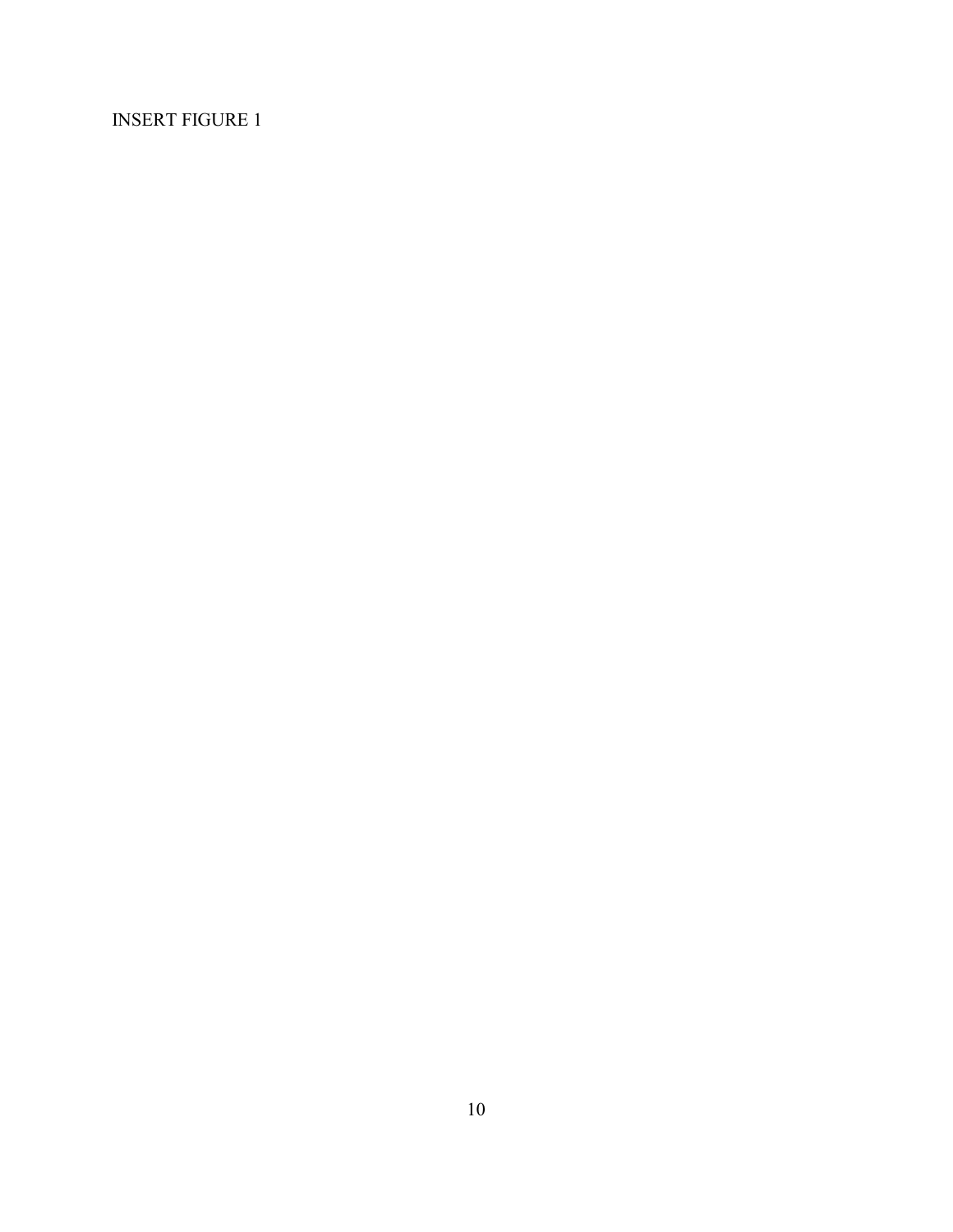### INSERT FIGURE 1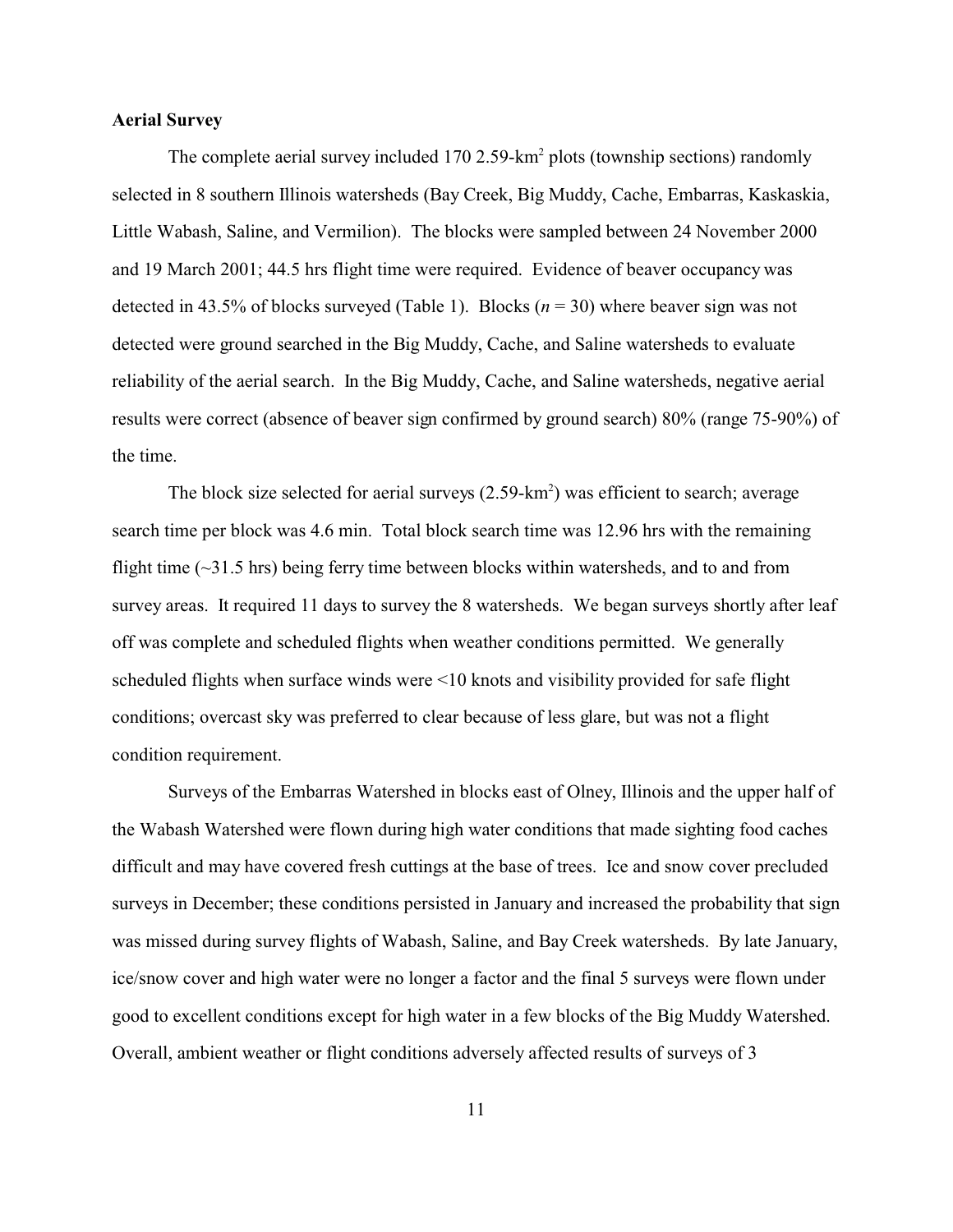### **Aerial Survey**

The complete aerial survey included  $170$  2.59-km<sup>2</sup> plots (township sections) randomly selected in 8 southern Illinois watersheds (Bay Creek, Big Muddy, Cache, Embarras, Kaskaskia, Little Wabash, Saline, and Vermilion). The blocks were sampled between 24 November 2000 and 19 March 2001; 44.5 hrs flight time were required. Evidence of beaver occupancy was detected in 43.5% of blocks surveyed (Table 1). Blocks (*n* = 30) where beaver sign was not detected were ground searched in the Big Muddy, Cache, and Saline watersheds to evaluate reliability of the aerial search. In the Big Muddy, Cache, and Saline watersheds, negative aerial results were correct (absence of beaver sign confirmed by ground search) 80% (range 75-90%) of the time.

The block size selected for aerial surveys  $(2.59 \text{-} \text{km}^2)$  was efficient to search; average search time per block was 4.6 min. Total block search time was 12.96 hrs with the remaining flight time  $(\sim 31.5 \text{ hrs})$  being ferry time between blocks within watersheds, and to and from survey areas. It required 11 days to survey the 8 watersheds. We began surveys shortly after leaf off was complete and scheduled flights when weather conditions permitted. We generally scheduled flights when surface winds were <10 knots and visibility provided for safe flight conditions; overcast sky was preferred to clear because of less glare, but was not a flight condition requirement.

Surveys of the Embarras Watershed in blocks east of Olney, Illinois and the upper half of the Wabash Watershed were flown during high water conditions that made sighting food caches difficult and may have covered fresh cuttings at the base of trees. Ice and snow cover precluded surveys in December; these conditions persisted in January and increased the probability that sign was missed during survey flights of Wabash, Saline, and Bay Creek watersheds. By late January, ice/snow cover and high water were no longer a factor and the final 5 surveys were flown under good to excellent conditions except for high water in a few blocks of the Big Muddy Watershed. Overall, ambient weather or flight conditions adversely affected results of surveys of 3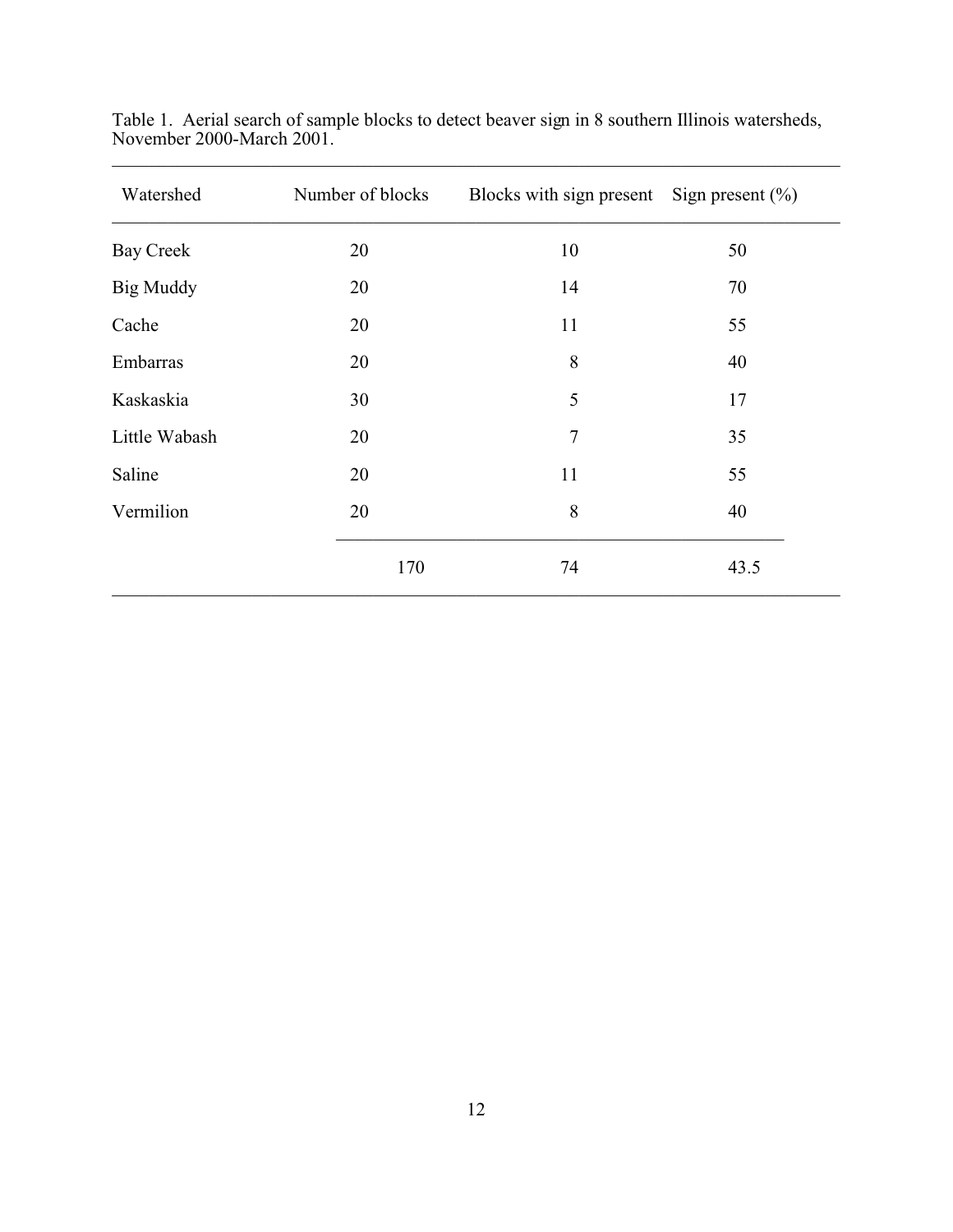| Watershed        | Number of blocks | Blocks with sign present Sign present $(\%)$ |      |
|------------------|------------------|----------------------------------------------|------|
| <b>Bay Creek</b> | 20               | 10                                           | 50   |
| <b>Big Muddy</b> | 20               | 14                                           | 70   |
| Cache            | 20               | 11                                           | 55   |
| Embarras         | 20               | 8                                            | 40   |
| Kaskaskia        | 30               | 5                                            | 17   |
| Little Wabash    | 20               | $\overline{7}$                               | 35   |
| Saline           | 20               | 11                                           | 55   |
| Vermilion        | 20               | 8                                            | 40   |
|                  | 170              | 74                                           | 43.5 |

Table 1. Aerial search of sample blocks to detect beaver sign in 8 southern Illinois watersheds, November 2000-March 2001.

\_\_\_\_\_\_\_\_\_\_\_\_\_\_\_\_\_\_\_\_\_\_\_\_\_\_\_\_\_\_\_\_\_\_\_\_\_\_\_\_\_\_\_\_\_\_\_\_\_\_\_\_\_\_\_\_\_\_\_\_\_\_\_\_\_\_\_\_\_\_\_\_\_\_\_\_\_\_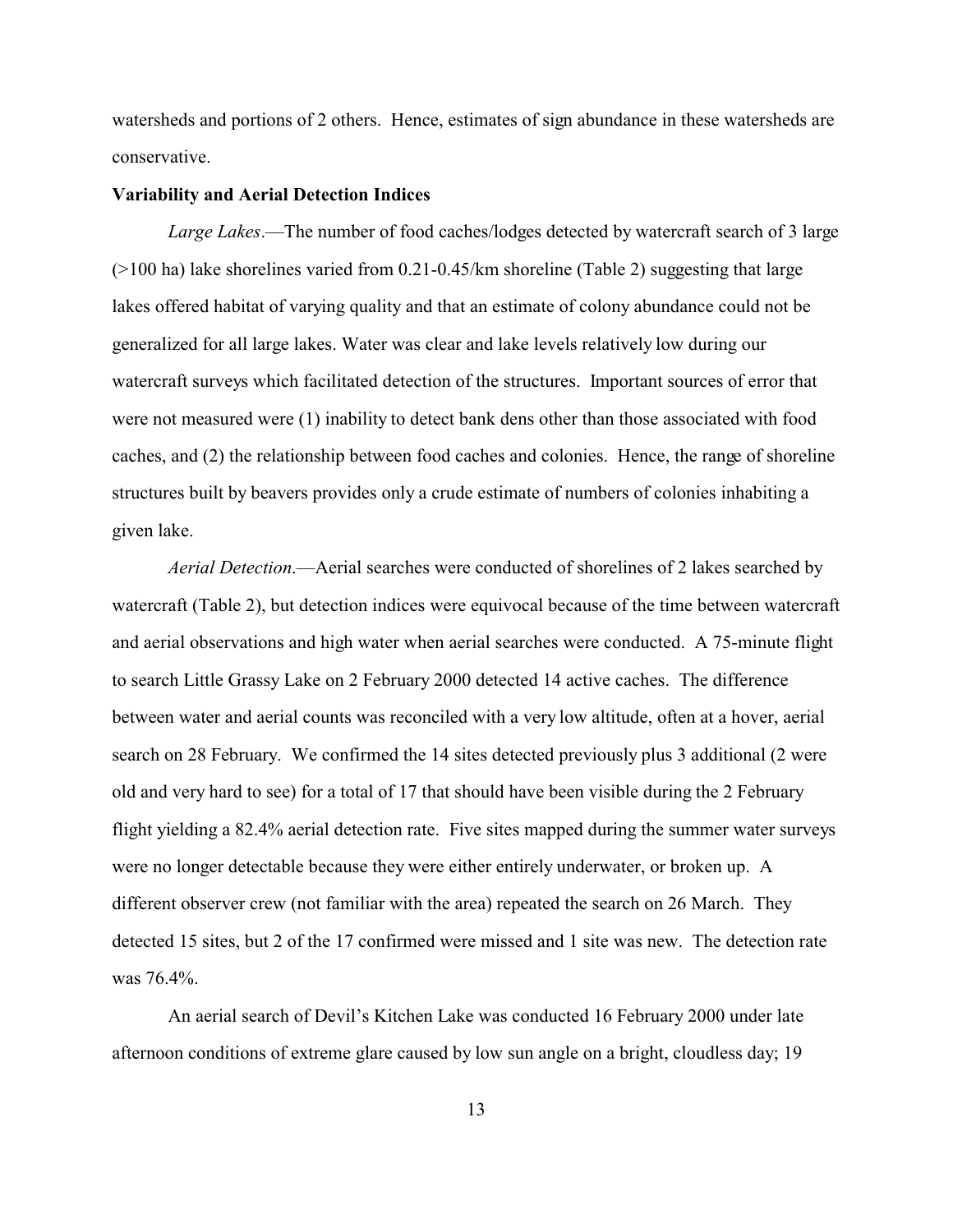watersheds and portions of 2 others. Hence, estimates of sign abundance in these watersheds are conservative.

#### **Variability and Aerial Detection Indices**

*Large Lakes*.—The number of food caches/lodges detected by watercraft search of 3 large (>100 ha) lake shorelines varied from 0.21-0.45/km shoreline (Table 2) suggesting that large lakes offered habitat of varying quality and that an estimate of colony abundance could not be generalized for all large lakes. Water was clear and lake levels relatively low during our watercraft surveys which facilitated detection of the structures. Important sources of error that were not measured were (1) inability to detect bank dens other than those associated with food caches, and (2) the relationship between food caches and colonies. Hence, the range of shoreline structures built by beavers provides only a crude estimate of numbers of colonies inhabiting a given lake.

*Aerial Detection*.—Aerial searches were conducted of shorelines of 2 lakes searched by watercraft (Table 2), but detection indices were equivocal because of the time between watercraft and aerial observations and high water when aerial searches were conducted. A 75-minute flight to search Little Grassy Lake on 2 February 2000 detected 14 active caches. The difference between water and aerial counts was reconciled with a very low altitude, often at a hover, aerial search on 28 February. We confirmed the 14 sites detected previously plus 3 additional (2 were old and very hard to see) for a total of 17 that should have been visible during the 2 February flight yielding a 82.4% aerial detection rate. Five sites mapped during the summer water surveys were no longer detectable because they were either entirely underwater, or broken up. A different observer crew (not familiar with the area) repeated the search on 26 March. They detected 15 sites, but 2 of the 17 confirmed were missed and 1 site was new. The detection rate was 76.4%.

An aerial search of Devil's Kitchen Lake was conducted 16 February 2000 under late afternoon conditions of extreme glare caused by low sun angle on a bright, cloudless day; 19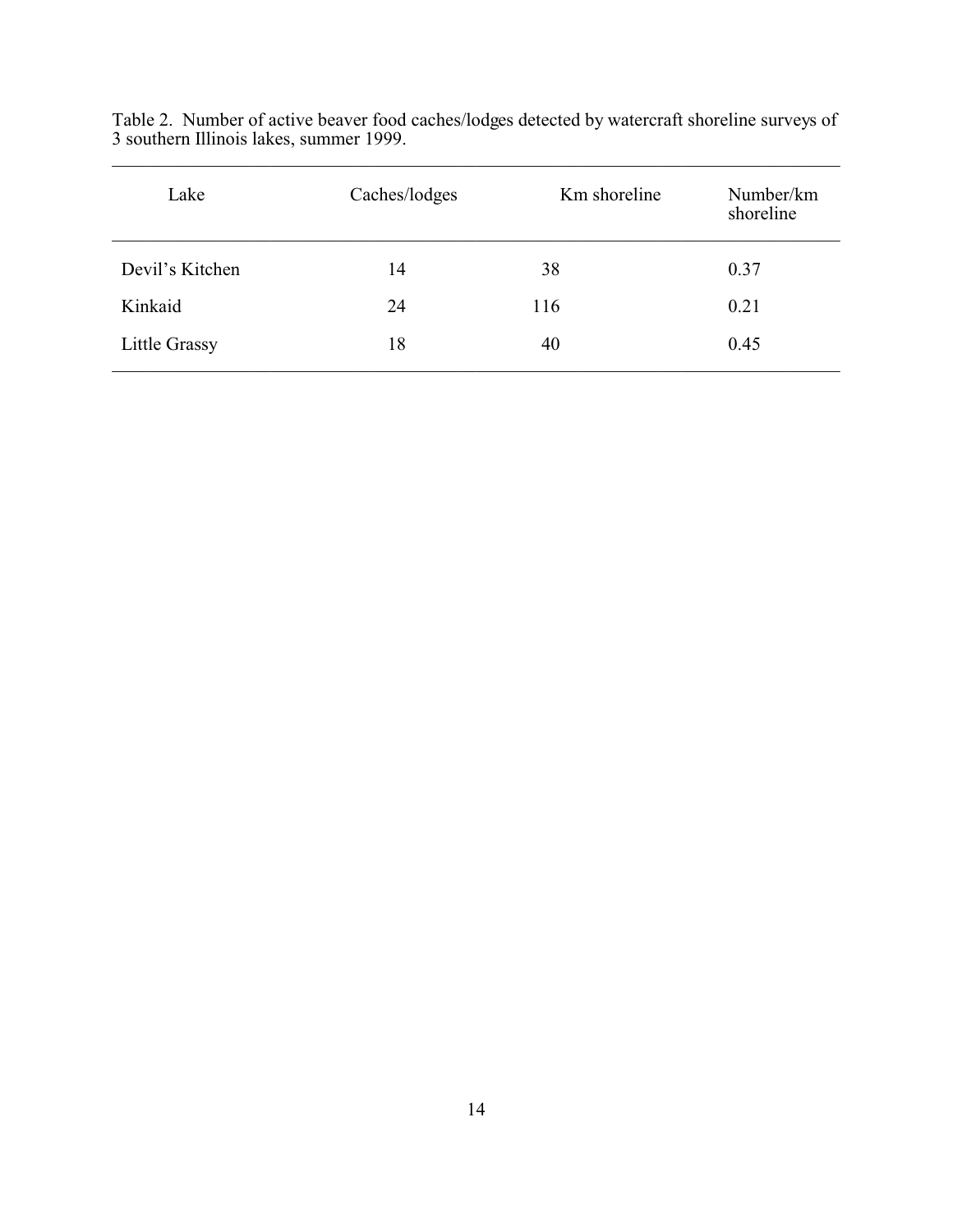| Lake            | Caches/lodges | Km shoreline | Number/km<br>shoreline |
|-----------------|---------------|--------------|------------------------|
| Devil's Kitchen | 14            | 38           | 0.37                   |
| Kinkaid         | 24            | 116          | 0.21                   |
| Little Grassy   | 18            | 40           | 0.45                   |

Table 2. Number of active beaver food caches/lodges detected by watercraft shoreline surveys of 3 southern Illinois lakes, summer 1999. \_\_\_\_\_\_\_\_\_\_\_\_\_\_\_\_\_\_\_\_\_\_\_\_\_\_\_\_\_\_\_\_\_\_\_\_\_\_\_\_\_\_\_\_\_\_\_\_\_\_\_\_\_\_\_\_\_\_\_\_\_\_\_\_\_\_\_\_\_\_\_\_\_\_\_\_\_\_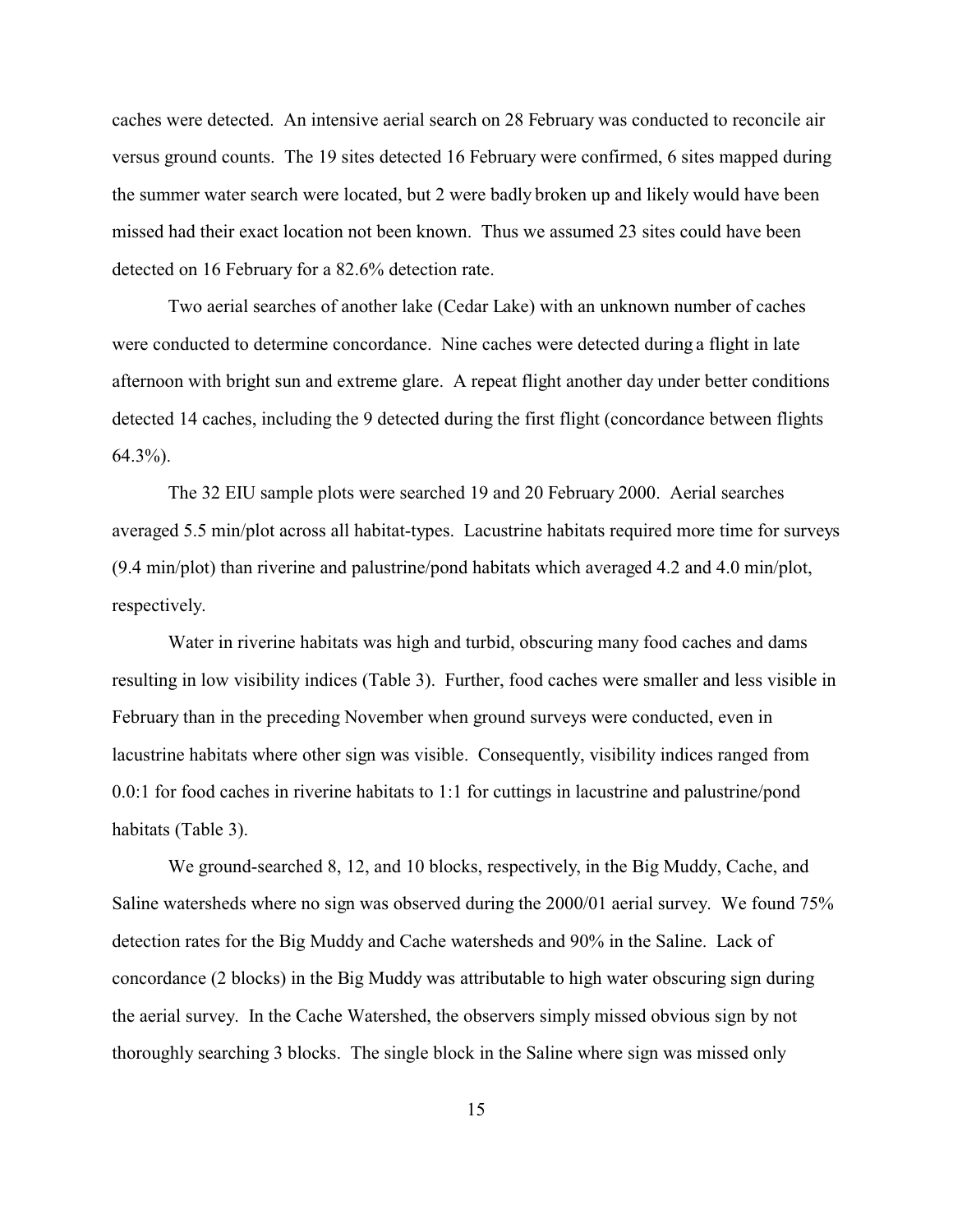caches were detected. An intensive aerial search on 28 February was conducted to reconcile air versus ground counts. The 19 sites detected 16 February were confirmed, 6 sites mapped during the summer water search were located, but 2 were badly broken up and likely would have been missed had their exact location not been known. Thus we assumed 23 sites could have been detected on 16 February for a 82.6% detection rate.

Two aerial searches of another lake (Cedar Lake) with an unknown number of caches were conducted to determine concordance. Nine caches were detected during a flight in late afternoon with bright sun and extreme glare. A repeat flight another day under better conditions detected 14 caches, including the 9 detected during the first flight (concordance between flights  $64.3\%$ ).

The 32 EIU sample plots were searched 19 and 20 February 2000. Aerial searches averaged 5.5 min/plot across all habitat-types. Lacustrine habitats required more time for surveys (9.4 min/plot) than riverine and palustrine/pond habitats which averaged 4.2 and 4.0 min/plot, respectively.

Water in riverine habitats was high and turbid, obscuring many food caches and dams resulting in low visibility indices (Table 3). Further, food caches were smaller and less visible in February than in the preceding November when ground surveys were conducted, even in lacustrine habitats where other sign was visible. Consequently, visibility indices ranged from 0.0:1 for food caches in riverine habitats to 1:1 for cuttings in lacustrine and palustrine/pond habitats (Table 3).

We ground-searched 8, 12, and 10 blocks, respectively, in the Big Muddy, Cache, and Saline watersheds where no sign was observed during the 2000/01 aerial survey. We found 75% detection rates for the Big Muddy and Cache watersheds and 90% in the Saline. Lack of concordance (2 blocks) in the Big Muddy was attributable to high water obscuring sign during the aerial survey. In the Cache Watershed, the observers simply missed obvious sign by not thoroughly searching 3 blocks. The single block in the Saline where sign was missed only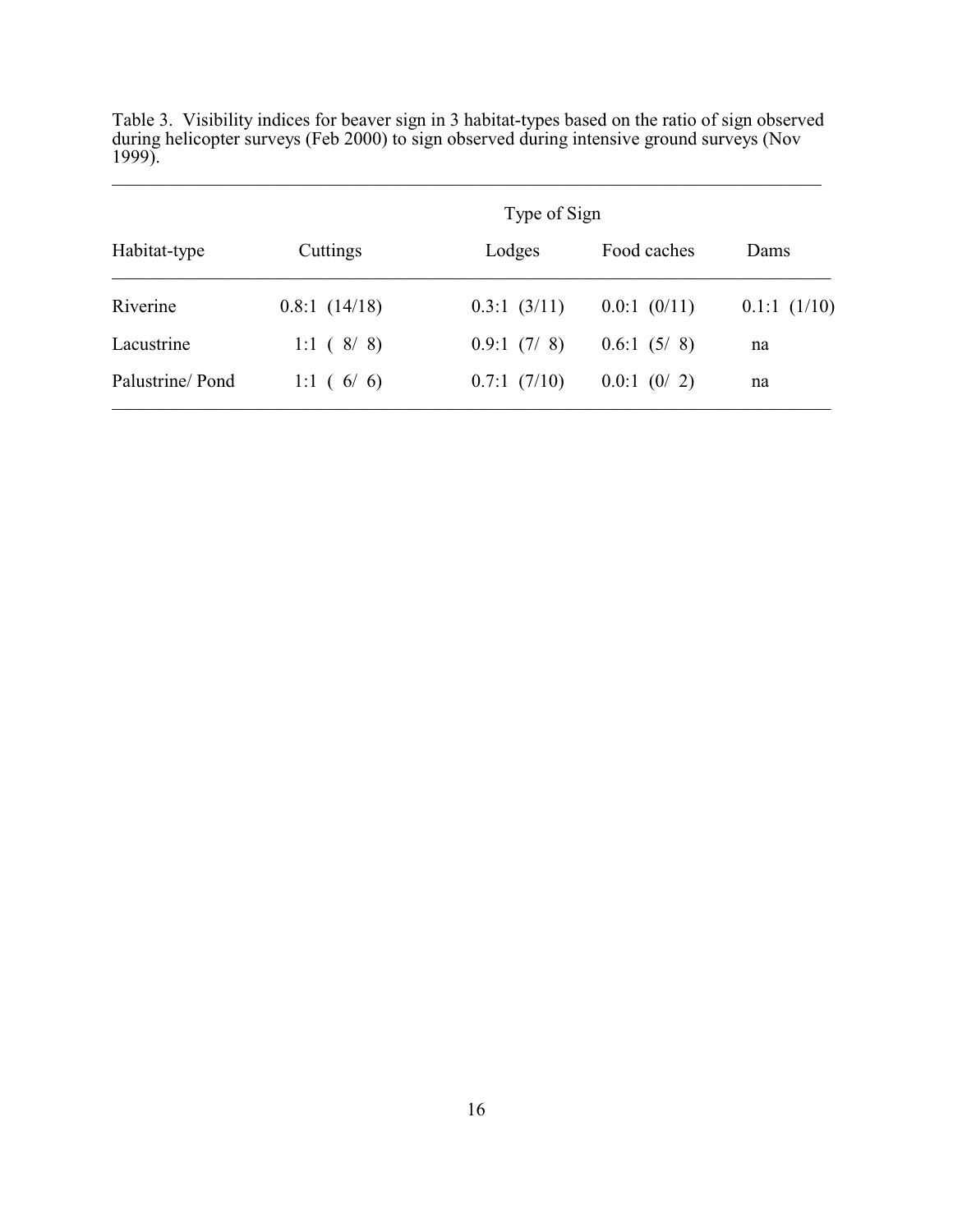|                 | Type of Sign |             |                  |             |  |  |  |
|-----------------|--------------|-------------|------------------|-------------|--|--|--|
| Habitat-type    | Cuttings     | Lodges      | Food caches      | Dams        |  |  |  |
| Riverine        | 0.8:1(14/18) | 0.3:1(3/11) | $0.0:1$ $(0/11)$ | 0.1:1(1/10) |  |  |  |
| Lacustrine      | 1:1 $(8/8)$  | 0.9:1(7/8)  | 0.6:1(5/8)       | na          |  |  |  |
| Palustrine/Pond | 1:1 $(6/6)$  | 0.7:1(7/10) | $0.0:1$ $(0/2)$  | na          |  |  |  |

Table 3. Visibility indices for beaver sign in 3 habitat-types based on the ratio of sign observed during helicopter surveys (Feb 2000) to sign observed during intensive ground surveys (Nov 1999).

\_\_\_\_\_\_\_\_\_\_\_\_\_\_\_\_\_\_\_\_\_\_\_\_\_\_\_\_\_\_\_\_\_\_\_\_\_\_\_\_\_\_\_\_\_\_\_\_\_\_\_\_\_\_\_\_\_\_\_\_\_\_\_\_\_\_\_\_\_\_\_\_\_\_\_\_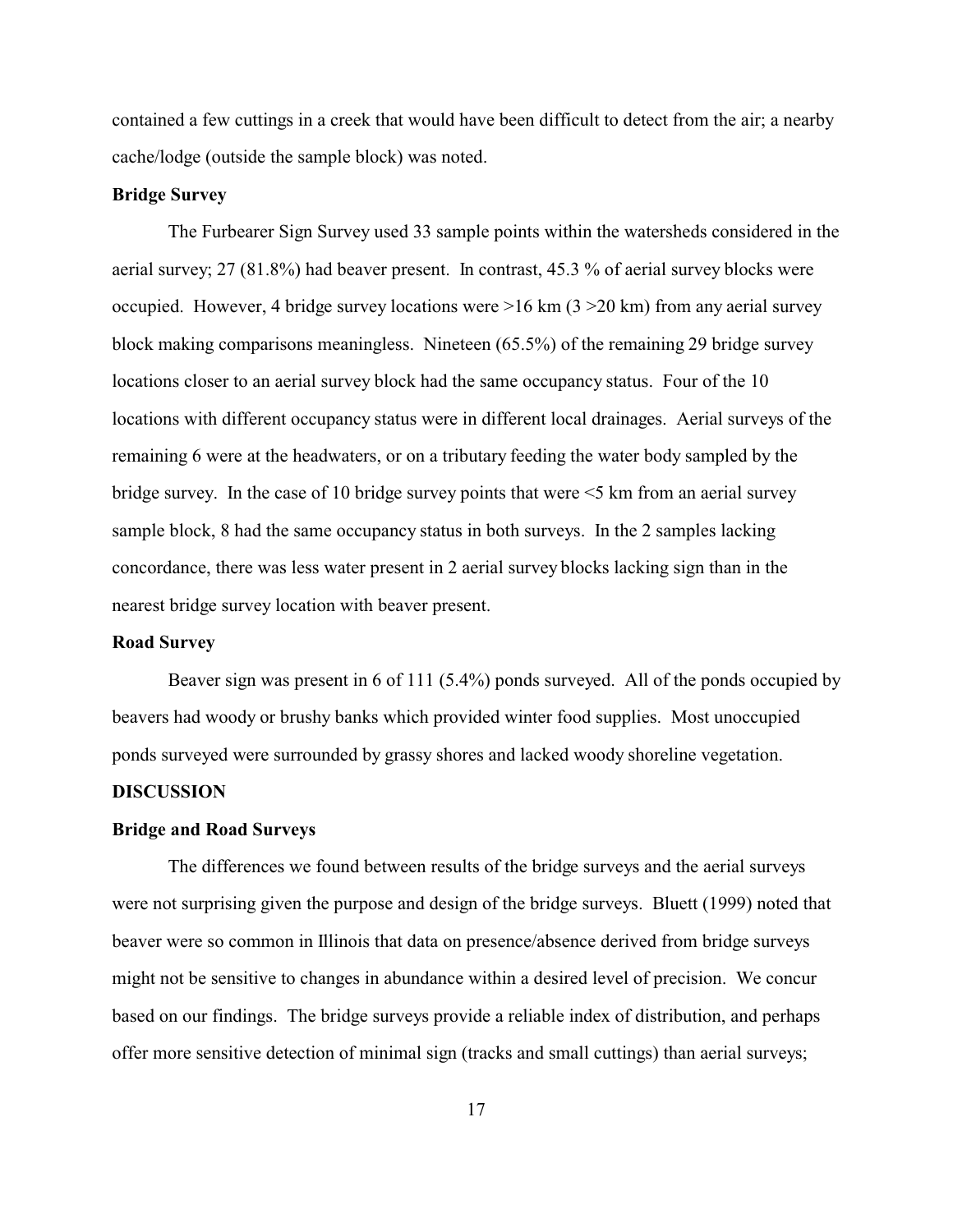contained a few cuttings in a creek that would have been difficult to detect from the air; a nearby cache/lodge (outside the sample block) was noted.

### **Bridge Survey**

The Furbearer Sign Survey used 33 sample points within the watersheds considered in the aerial survey; 27 (81.8%) had beaver present. In contrast, 45.3 % of aerial survey blocks were occupied. However, 4 bridge survey locations were >16 km (3 >20 km) from any aerial survey block making comparisons meaningless. Nineteen (65.5%) of the remaining 29 bridge survey locations closer to an aerial survey block had the same occupancy status. Four of the 10 locations with different occupancy status were in different local drainages. Aerial surveys of the remaining 6 were at the headwaters, or on a tributary feeding the water body sampled by the bridge survey. In the case of 10 bridge survey points that were <5 km from an aerial survey sample block, 8 had the same occupancy status in both surveys. In the 2 samples lacking concordance, there was less water present in 2 aerial survey blocks lacking sign than in the nearest bridge survey location with beaver present.

### **Road Survey**

Beaver sign was present in 6 of 111 (5.4%) ponds surveyed. All of the ponds occupied by beavers had woody or brushy banks which provided winter food supplies. Most unoccupied ponds surveyed were surrounded by grassy shores and lacked woody shoreline vegetation.

### **DISCUSSION**

### **Bridge and Road Surveys**

The differences we found between results of the bridge surveys and the aerial surveys were not surprising given the purpose and design of the bridge surveys. Bluett (1999) noted that beaver were so common in Illinois that data on presence/absence derived from bridge surveys might not be sensitive to changes in abundance within a desired level of precision. We concur based on our findings. The bridge surveys provide a reliable index of distribution, and perhaps offer more sensitive detection of minimal sign (tracks and small cuttings) than aerial surveys;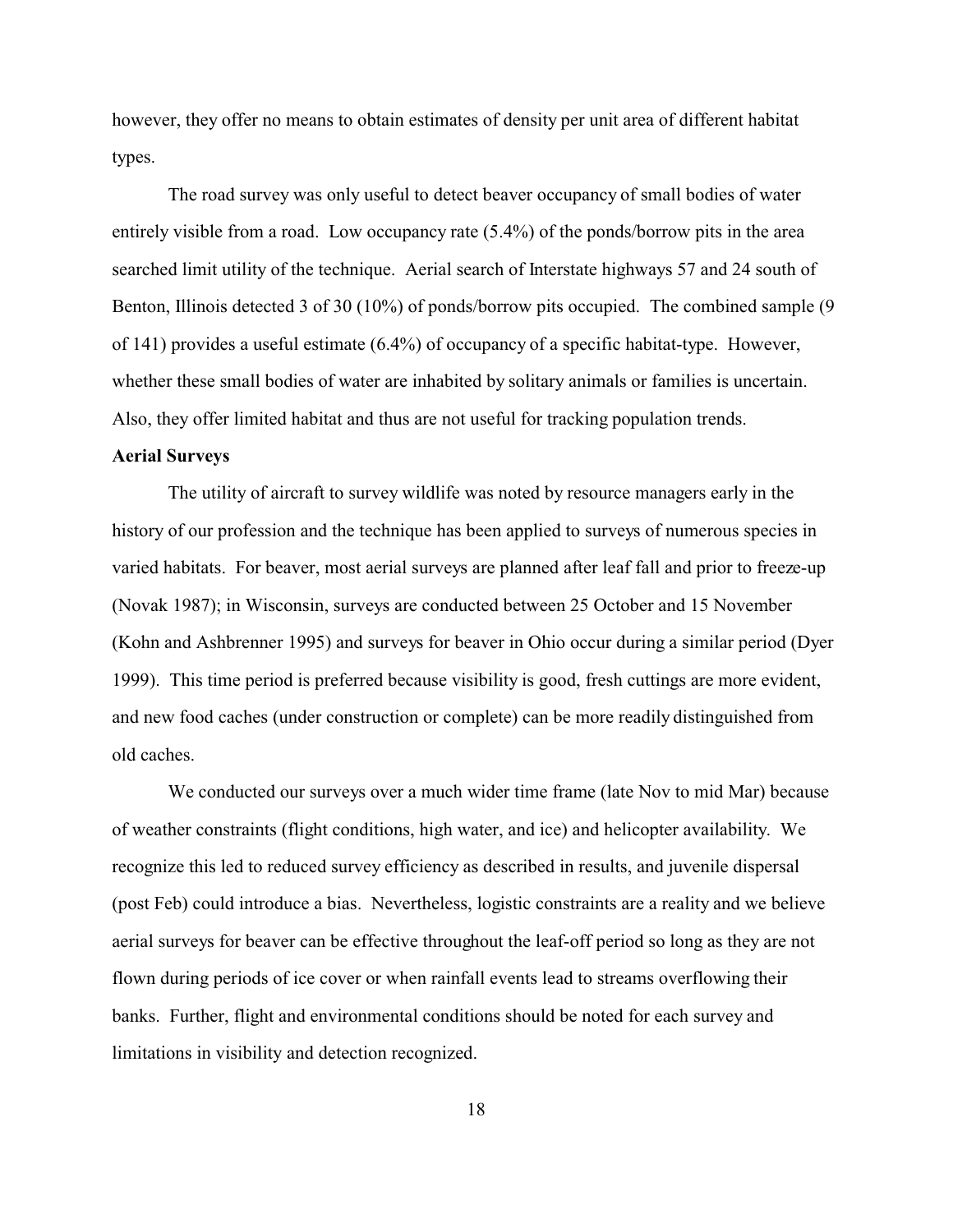however, they offer no means to obtain estimates of density per unit area of different habitat types.

The road survey was only useful to detect beaver occupancy of small bodies of water entirely visible from a road. Low occupancy rate (5.4%) of the ponds/borrow pits in the area searched limit utility of the technique. Aerial search of Interstate highways 57 and 24 south of Benton, Illinois detected 3 of 30 (10%) of ponds/borrow pits occupied. The combined sample (9 of 141) provides a useful estimate (6.4%) of occupancy of a specific habitat-type. However, whether these small bodies of water are inhabited by solitary animals or families is uncertain. Also, they offer limited habitat and thus are not useful for tracking population trends.

### **Aerial Surveys**

The utility of aircraft to survey wildlife was noted by resource managers early in the history of our profession and the technique has been applied to surveys of numerous species in varied habitats. For beaver, most aerial surveys are planned after leaf fall and prior to freeze-up (Novak 1987); in Wisconsin, surveys are conducted between 25 October and 15 November (Kohn and Ashbrenner 1995) and surveys for beaver in Ohio occur during a similar period (Dyer 1999). This time period is preferred because visibility is good, fresh cuttings are more evident, and new food caches (under construction or complete) can be more readily distinguished from old caches.

We conducted our surveys over a much wider time frame (late Nov to mid Mar) because of weather constraints (flight conditions, high water, and ice) and helicopter availability. We recognize this led to reduced survey efficiency as described in results, and juvenile dispersal (post Feb) could introduce a bias. Nevertheless, logistic constraints are a reality and we believe aerial surveys for beaver can be effective throughout the leaf-off period so long as they are not flown during periods of ice cover or when rainfall events lead to streams overflowing their banks. Further, flight and environmental conditions should be noted for each survey and limitations in visibility and detection recognized.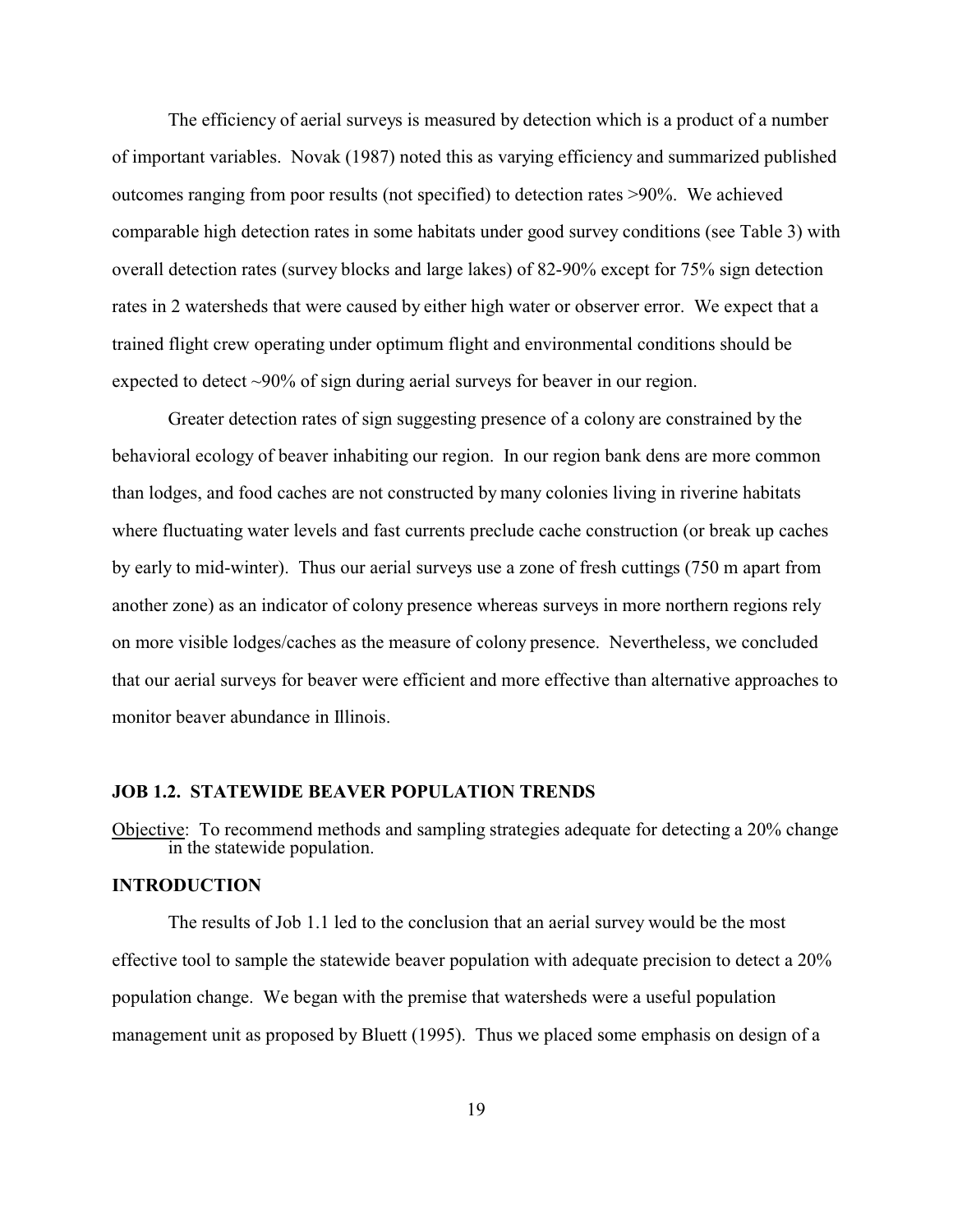The efficiency of aerial surveys is measured by detection which is a product of a number of important variables. Novak (1987) noted this as varying efficiency and summarized published outcomes ranging from poor results (not specified) to detection rates >90%. We achieved comparable high detection rates in some habitats under good survey conditions (see Table 3) with overall detection rates (survey blocks and large lakes) of 82-90% except for 75% sign detection rates in 2 watersheds that were caused by either high water or observer error. We expect that a trained flight crew operating under optimum flight and environmental conditions should be expected to detect ~90% of sign during aerial surveys for beaver in our region.

Greater detection rates of sign suggesting presence of a colony are constrained by the behavioral ecology of beaver inhabiting our region. In our region bank dens are more common than lodges, and food caches are not constructed by many colonies living in riverine habitats where fluctuating water levels and fast currents preclude cache construction (or break up caches by early to mid-winter). Thus our aerial surveys use a zone of fresh cuttings (750 m apart from another zone) as an indicator of colony presence whereas surveys in more northern regions rely on more visible lodges/caches as the measure of colony presence. Nevertheless, we concluded that our aerial surveys for beaver were efficient and more effective than alternative approaches to monitor beaver abundance in Illinois.

### **JOB 1.2. STATEWIDE BEAVER POPULATION TRENDS**

Objective: To recommend methods and sampling strategies adequate for detecting a 20% change in the statewide population.

### **INTRODUCTION**

The results of Job 1.1 led to the conclusion that an aerial survey would be the most effective tool to sample the statewide beaver population with adequate precision to detect a 20% population change. We began with the premise that watersheds were a useful population management unit as proposed by Bluett (1995). Thus we placed some emphasis on design of a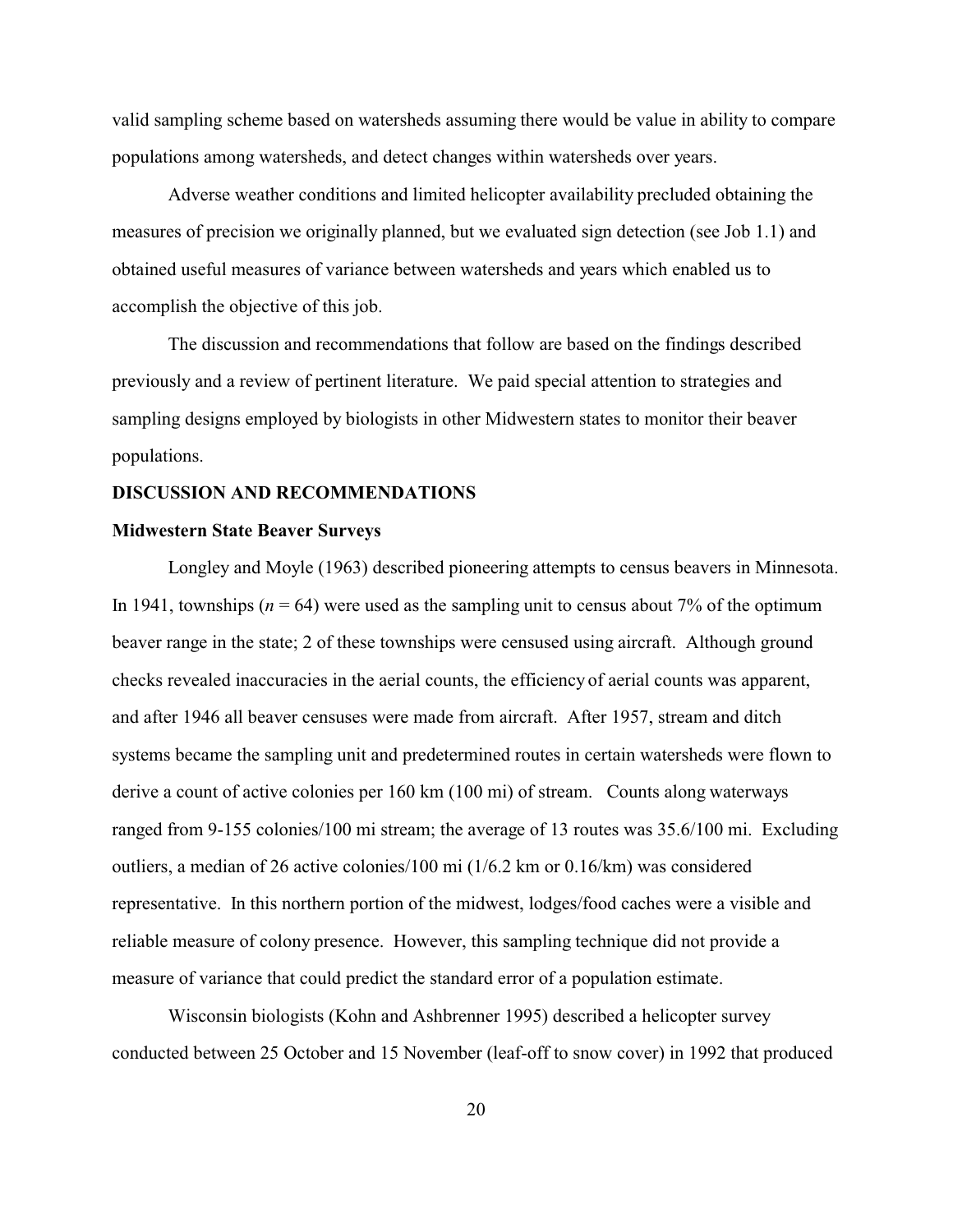valid sampling scheme based on watersheds assuming there would be value in ability to compare populations among watersheds, and detect changes within watersheds over years.

Adverse weather conditions and limited helicopter availability precluded obtaining the measures of precision we originally planned, but we evaluated sign detection (see Job 1.1) and obtained useful measures of variance between watersheds and years which enabled us to accomplish the objective of this job.

The discussion and recommendations that follow are based on the findings described previously and a review of pertinent literature. We paid special attention to strategies and sampling designs employed by biologists in other Midwestern states to monitor their beaver populations.

### **DISCUSSION AND RECOMMENDATIONS**

### **Midwestern State Beaver Surveys**

Longley and Moyle (1963) described pioneering attempts to census beavers in Minnesota. In 1941, townships ( $n = 64$ ) were used as the sampling unit to census about 7% of the optimum beaver range in the state; 2 of these townships were censused using aircraft. Although ground checks revealed inaccuracies in the aerial counts, the efficiency of aerial counts was apparent, and after 1946 all beaver censuses were made from aircraft. After 1957, stream and ditch systems became the sampling unit and predetermined routes in certain watersheds were flown to derive a count of active colonies per 160 km (100 mi) of stream. Counts along waterways ranged from 9-155 colonies/100 mi stream; the average of 13 routes was 35.6/100 mi. Excluding outliers, a median of 26 active colonies/100 mi (1/6.2 km or 0.16/km) was considered representative. In this northern portion of the midwest, lodges/food caches were a visible and reliable measure of colony presence. However, this sampling technique did not provide a measure of variance that could predict the standard error of a population estimate.

Wisconsin biologists (Kohn and Ashbrenner 1995) described a helicopter survey conducted between 25 October and 15 November (leaf-off to snow cover) in 1992 that produced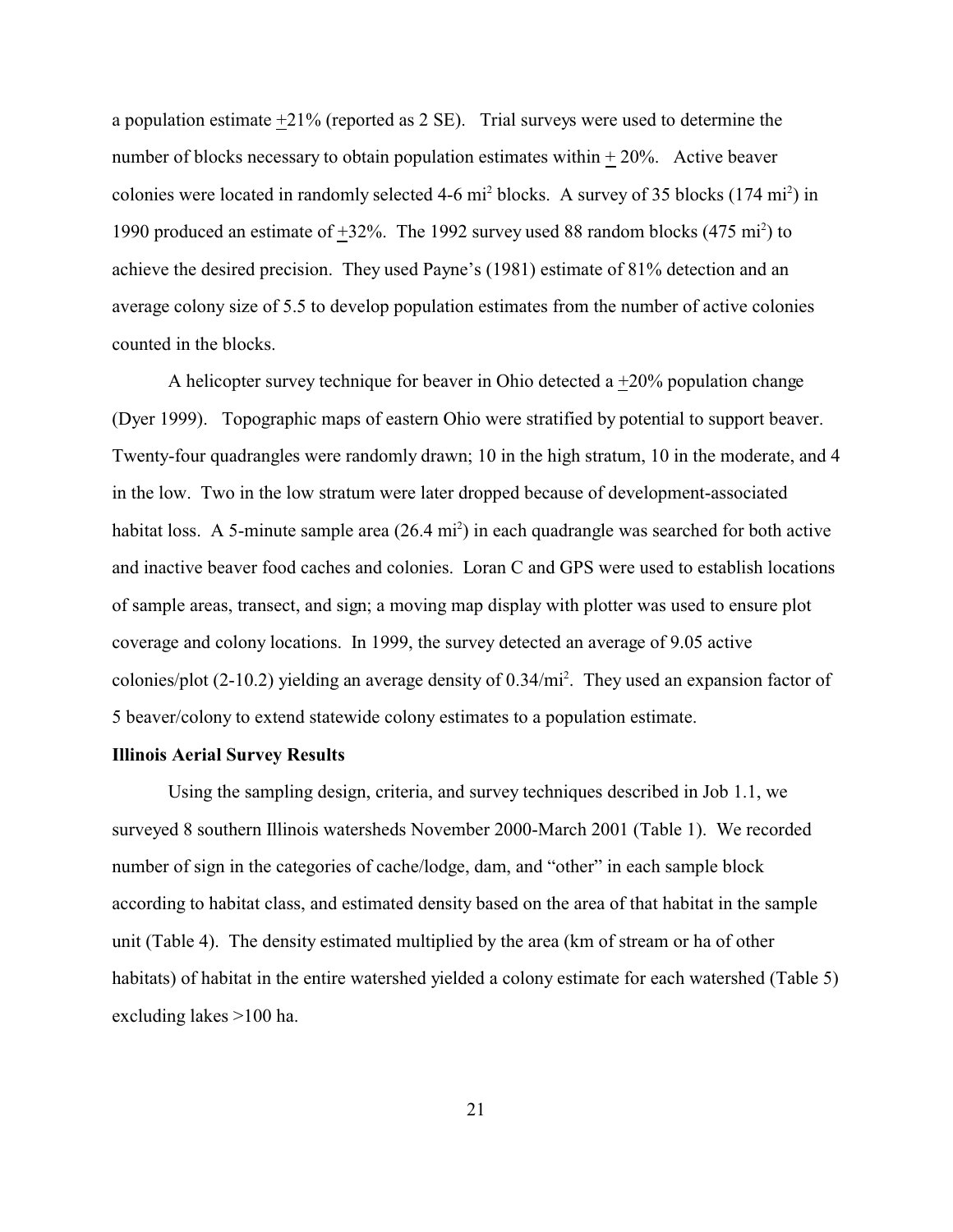a population estimate +21% (reported as 2 SE). Trial surveys were used to determine the number of blocks necessary to obtain population estimates within  $+20\%$ . Active beaver colonies were located in randomly selected  $4-6$  mi<sup>2</sup> blocks. A survey of 35 blocks ( $174$  mi<sup>2</sup>) in 1990 produced an estimate of  $\pm 32\%$ . The 1992 survey used 88 random blocks (475 mi<sup>2</sup>) to achieve the desired precision. They used Payne's (1981) estimate of 81% detection and an average colony size of 5.5 to develop population estimates from the number of active colonies counted in the blocks.

A helicopter survey technique for beaver in Ohio detected a  $+20\%$  population change (Dyer 1999). Topographic maps of eastern Ohio were stratified by potential to support beaver. Twenty-four quadrangles were randomly drawn; 10 in the high stratum, 10 in the moderate, and 4 in the low. Two in the low stratum were later dropped because of development-associated habitat loss. A 5-minute sample area  $(26.4 \text{ mi}^2)$  in each quadrangle was searched for both active and inactive beaver food caches and colonies. Loran C and GPS were used to establish locations of sample areas, transect, and sign; a moving map display with plotter was used to ensure plot coverage and colony locations. In 1999, the survey detected an average of 9.05 active colonies/plot (2-10.2) yielding an average density of 0.34/mi<sup>2</sup>. They used an expansion factor of 5 beaver/colony to extend statewide colony estimates to a population estimate.

### **Illinois Aerial Survey Results**

Using the sampling design, criteria, and survey techniques described in Job 1.1, we surveyed 8 southern Illinois watersheds November 2000-March 2001 (Table 1). We recorded number of sign in the categories of cache/lodge, dam, and "other" in each sample block according to habitat class, and estimated density based on the area of that habitat in the sample unit (Table 4). The density estimated multiplied by the area (km of stream or ha of other habitats) of habitat in the entire watershed yielded a colony estimate for each watershed (Table 5) excluding lakes >100 ha.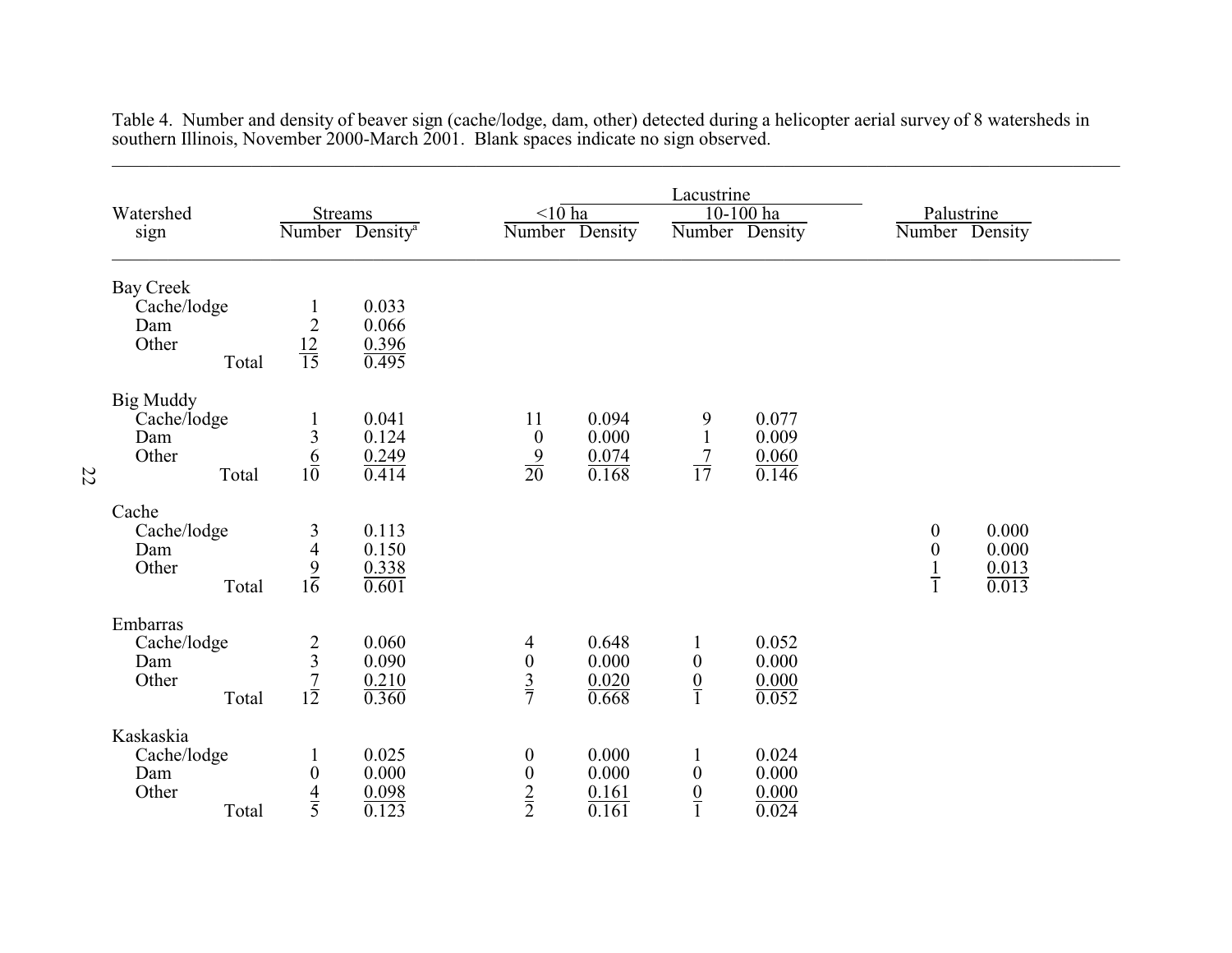| Watershed<br>sign                                        |                                                        | <b>Streams</b><br>Number Density <sup>a</sup> | $\leq$ 10 ha<br>Number Density                                                                  | Lacustrine                                        | $10-100$ ha<br>Number Density    | Palustrine<br>Number Density           |                                  |  |
|----------------------------------------------------------|--------------------------------------------------------|-----------------------------------------------|-------------------------------------------------------------------------------------------------|---------------------------------------------------|----------------------------------|----------------------------------------|----------------------------------|--|
| <b>Bay Creek</b><br>Cache/lodge<br>Dam<br>Other<br>Total | $\overline{2}$<br>$\frac{12}{15}$                      | 0.033<br>0.066<br>0.396<br>0.495              |                                                                                                 |                                                   |                                  |                                        |                                  |  |
| <b>Big Muddy</b><br>Cache/lodge<br>Dam<br>Other<br>Total | $\mathbf{1}$<br>$\mathfrak{Z}$<br>6<br>$1\overline{0}$ | 0.041<br>0.124<br>$\frac{0.249}{0.414}$       | 11<br>0.094<br>0.000<br>$\boldsymbol{0}$<br>$\frac{9}{20}$<br>0.074<br>0.168                    | 9<br>$\mathbf{1}$<br>$\frac{7}{17}$               | 0.077<br>0.009<br>0.060<br>0.146 |                                        |                                  |  |
| Cache<br>Cache/lodge<br>Dam<br>Other<br>Total            | 3<br>$\overline{4}$<br>$\frac{9}{16}$                  | 0.113<br>0.150<br>0.338<br>0.601              |                                                                                                 |                                                   |                                  | $\boldsymbol{0}$<br>0<br>$\frac{1}{1}$ | 0.000<br>0.000<br>0.013<br>0.013 |  |
| Embarras<br>Cache/lodge<br>Dam<br>Other<br>Total         | $\overline{2}$<br>$\overline{3}$<br>$\frac{7}{12}$     | 0.060<br>0.090<br>0.210<br>0.360              | 0.648<br>$\overline{\mathcal{A}}$<br>$\boldsymbol{0}$<br>0.000<br>$rac{3}{7}$<br>0.020<br>0.668 | $\mathbf{1}$<br>$\boldsymbol{0}$<br>$\frac{0}{1}$ | 0.052<br>0.000<br>0.000<br>0.052 |                                        |                                  |  |
| Kaskaskia<br>Cache/lodge<br>Dam<br>Other<br>Total        | 1<br>$\boldsymbol{0}$<br>$\frac{4}{5}$                 | 0.025<br>0.000<br>0.098<br>0.123              | 0.000<br>0<br>$\boldsymbol{0}$<br>0.000<br>$\frac{2}{2}$<br>0.161<br>0.161                      | $\mathbf{1}$<br>$\boldsymbol{0}$<br>$\frac{0}{1}$ | 0.024<br>0.000<br>0.000<br>0.024 |                                        |                                  |  |

Table 4. Number and density of beaver sign (cache/lodge, dam, other) detected during a helicopter aerial survey of 8 watersheds in southern Illinois, November 2000-March 2001. Blank spaces indicate no sign observed.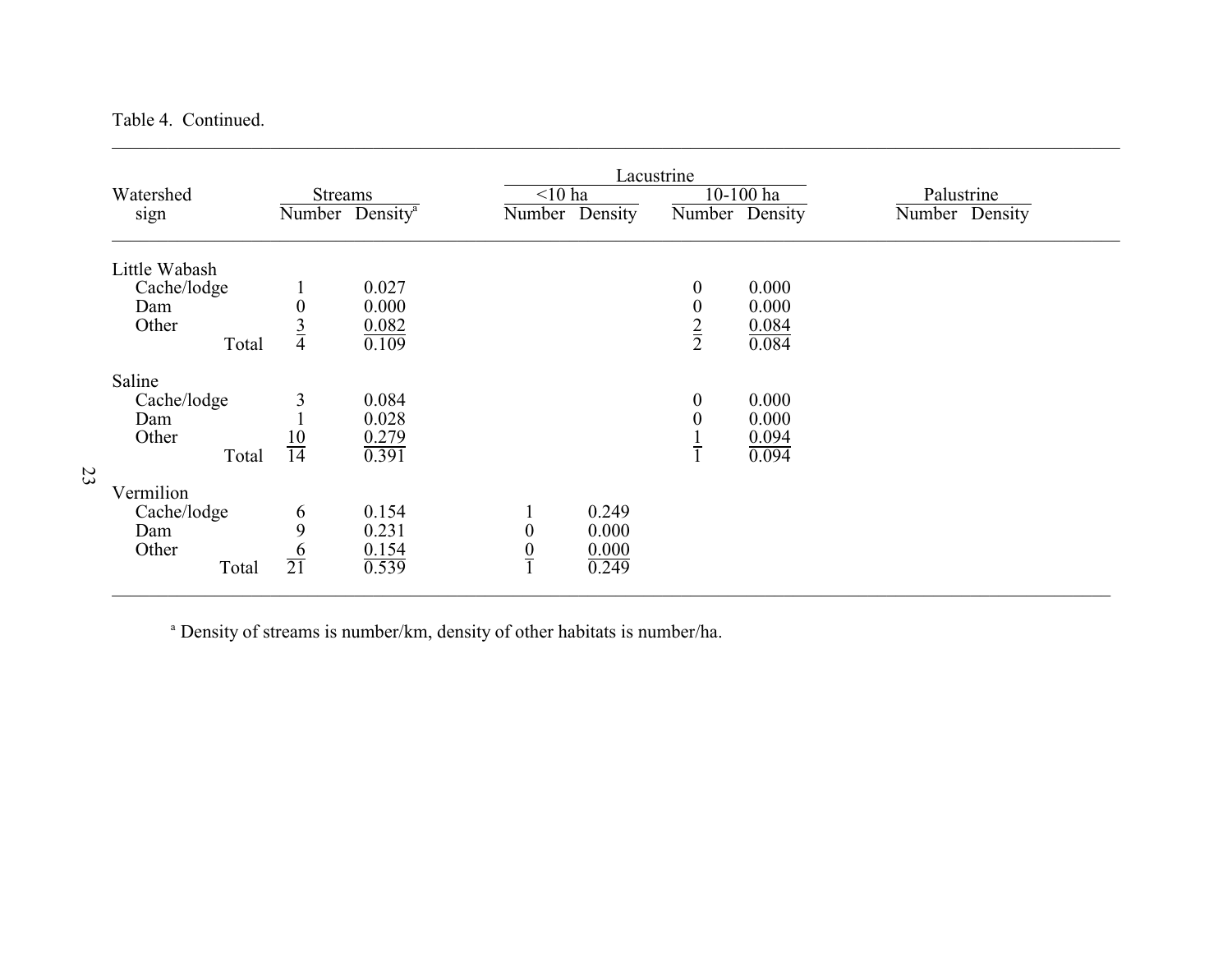Table 4. Continued.

23

|               |                  |                             |                  |                | Lacustrine       |             |                |  |
|---------------|------------------|-----------------------------|------------------|----------------|------------------|-------------|----------------|--|
| Watershed     | <b>Streams</b>   |                             | $<$ 10 ha        |                |                  | $10-100$ ha | Palustrine     |  |
| sign          |                  | Number Density <sup>a</sup> |                  | Number Density | Number Density   |             | Number Density |  |
| Little Wabash |                  |                             |                  |                |                  |             |                |  |
| Cache/lodge   |                  | 0.027                       |                  |                | $\boldsymbol{0}$ | 0.000       |                |  |
| Dam           | $\boldsymbol{0}$ | 0.000                       |                  |                | $\boldsymbol{0}$ | 0.000       |                |  |
| Other         |                  | 0.082                       |                  |                |                  | 0.084       |                |  |
| Total         | $rac{3}{4}$      | 0.109                       |                  |                | $rac{2}{2}$      | 0.084       |                |  |
| Saline        |                  |                             |                  |                |                  |             |                |  |
| Cache/lodge   | 3                | 0.084                       |                  |                | $\boldsymbol{0}$ | 0.000       |                |  |
| Dam           |                  | 0.028                       |                  |                | $\overline{0}$   | 0.000       |                |  |
| Other         |                  | 0.279                       |                  |                |                  | 0.094       |                |  |
| Total         | $\frac{10}{14}$  | 0.391                       |                  |                | $\frac{1}{1}$    | 0.094       |                |  |
| Vermilion     |                  |                             |                  |                |                  |             |                |  |
| Cache/lodge   | 6                | 0.154                       |                  | 0.249          |                  |             |                |  |
| Dam           | 9                | 0.231                       | $\boldsymbol{0}$ | 0.000          |                  |             |                |  |
| Other         |                  | 0.154                       | $\frac{0}{1}$    | 0.000          |                  |             |                |  |
| Total         | $rac{6}{21}$     | 0.539                       |                  | 0.249          |                  |             |                |  |

\_\_\_\_\_\_\_\_\_\_\_\_\_\_\_\_\_\_\_\_\_\_\_\_\_\_\_\_\_\_\_\_\_\_\_\_\_\_\_\_\_\_\_\_\_\_\_\_\_\_\_\_\_\_\_\_\_\_\_\_\_\_\_\_\_\_\_\_\_\_\_\_\_\_\_\_\_\_\_\_\_\_\_\_\_\_\_\_\_\_\_\_\_\_\_\_\_\_\_\_\_\_\_\_\_\_\_\_

a Density of streams is number/km, density of other habitats is number/ha.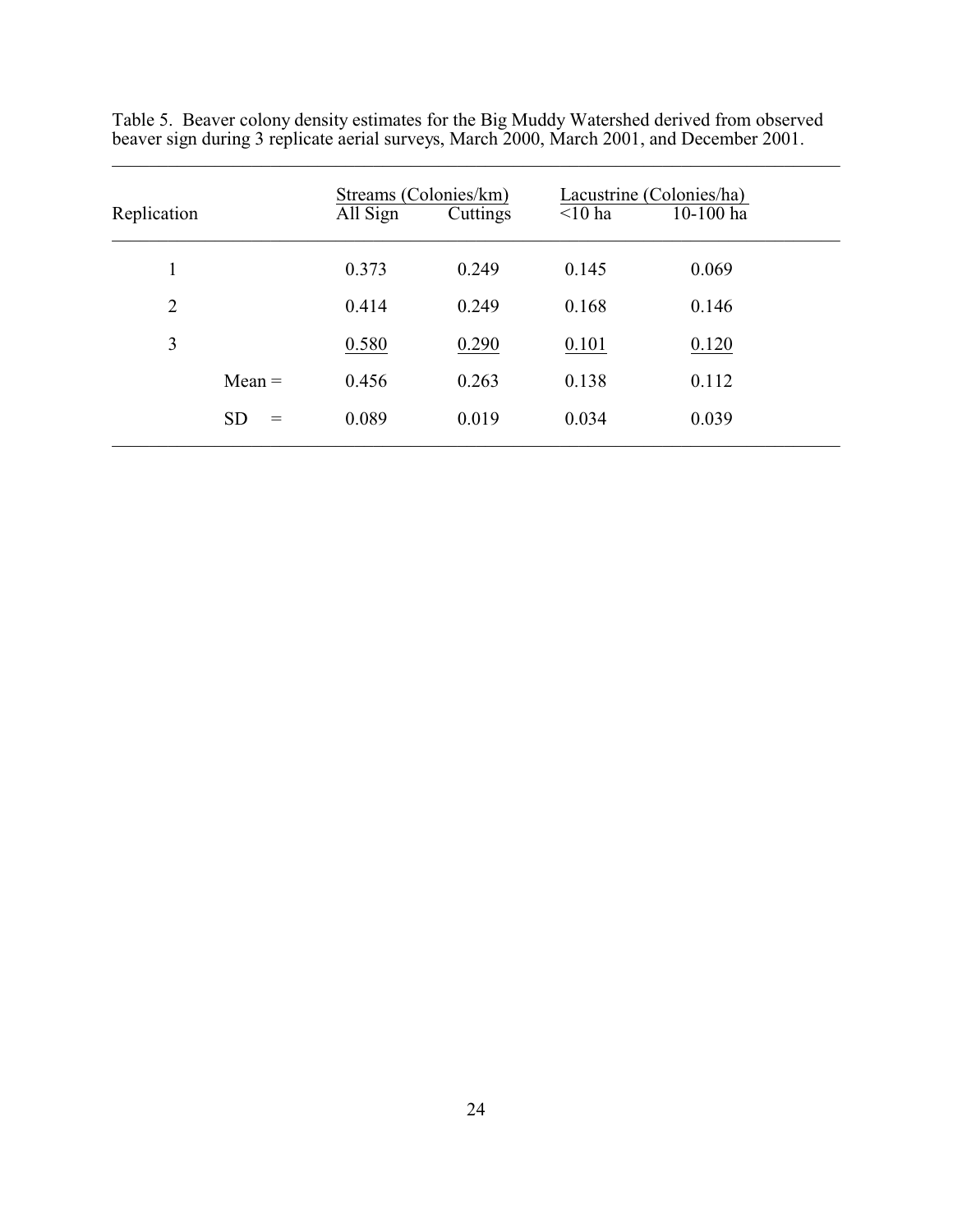| Replication    |                  | Streams (Colonies/km)<br>All Sign | Cuttings | Lacustrine (Colonies/ha)<br>$<$ 10 ha | 10-100 ha |
|----------------|------------------|-----------------------------------|----------|---------------------------------------|-----------|
| $\mathbf{1}$   |                  | 0.373                             | 0.249    | 0.145                                 | 0.069     |
| $\overline{2}$ |                  | 0.414                             | 0.249    | 0.168                                 | 0.146     |
| 3              |                  | 0.580                             | 0.290    | 0.101                                 | 0.120     |
|                | $Mean =$         | 0.456                             | 0.263    | 0.138                                 | 0.112     |
|                | <b>SD</b><br>$=$ | 0.089                             | 0.019    | 0.034                                 | 0.039     |

Table 5. Beaver colony density estimates for the Big Muddy Watershed derived from observed beaver sign during 3 replicate aerial surveys, March 2000, March 2001, and December 2001.

\_\_\_\_\_\_\_\_\_\_\_\_\_\_\_\_\_\_\_\_\_\_\_\_\_\_\_\_\_\_\_\_\_\_\_\_\_\_\_\_\_\_\_\_\_\_\_\_\_\_\_\_\_\_\_\_\_\_\_\_\_\_\_\_\_\_\_\_\_\_\_\_\_\_\_\_\_\_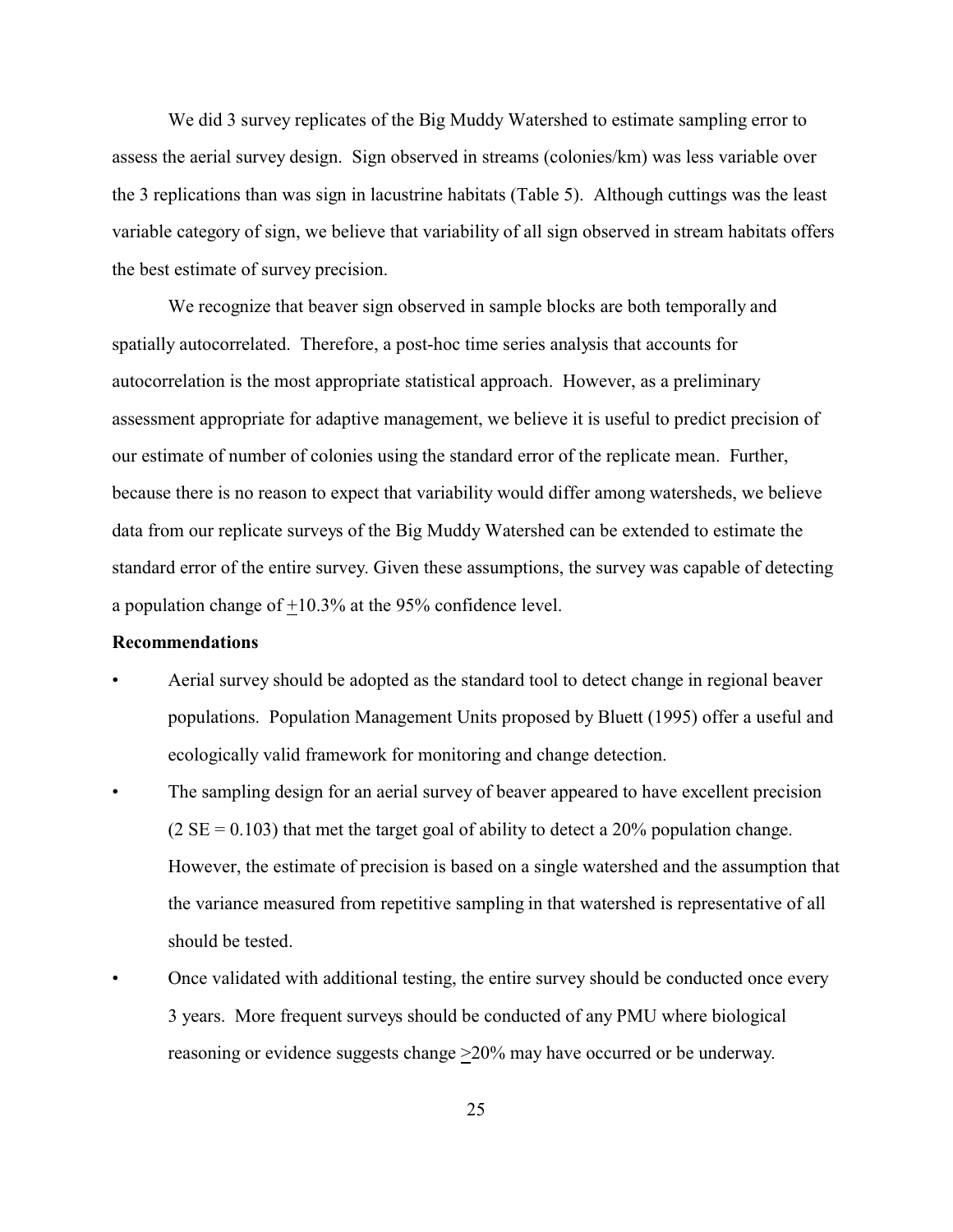We did 3 survey replicates of the Big Muddy Watershed to estimate sampling error to assess the aerial survey design. Sign observed in streams (colonies/km) was less variable over the 3 replications than was sign in lacustrine habitats (Table 5). Although cuttings was the least variable category of sign, we believe that variability of all sign observed in stream habitats offers the best estimate of survey precision.

We recognize that beaver sign observed in sample blocks are both temporally and spatially autocorrelated. Therefore, a post-hoc time series analysis that accounts for autocorrelation is the most appropriate statistical approach. However, as a preliminary assessment appropriate for adaptive management, we believe it is useful to predict precision of our estimate of number of colonies using the standard error of the replicate mean. Further, because there is no reason to expect that variability would differ among watersheds, we believe data from our replicate surveys of the Big Muddy Watershed can be extended to estimate the standard error of the entire survey. Given these assumptions, the survey was capable of detecting a population change of +10.3% at the 95% confidence level.

### **Recommendations**

- Aerial survey should be adopted as the standard tool to detect change in regional beaver populations. Population Management Units proposed by Bluett (1995) offer a useful and ecologically valid framework for monitoring and change detection.
- The sampling design for an aerial survey of beaver appeared to have excellent precision  $(2 \text{ SE} = 0.103)$  that met the target goal of ability to detect a 20% population change. However, the estimate of precision is based on a single watershed and the assumption that the variance measured from repetitive sampling in that watershed is representative of all should be tested.
- Once validated with additional testing, the entire survey should be conducted once every 3 years. More frequent surveys should be conducted of any PMU where biological reasoning or evidence suggests change >20% may have occurred or be underway.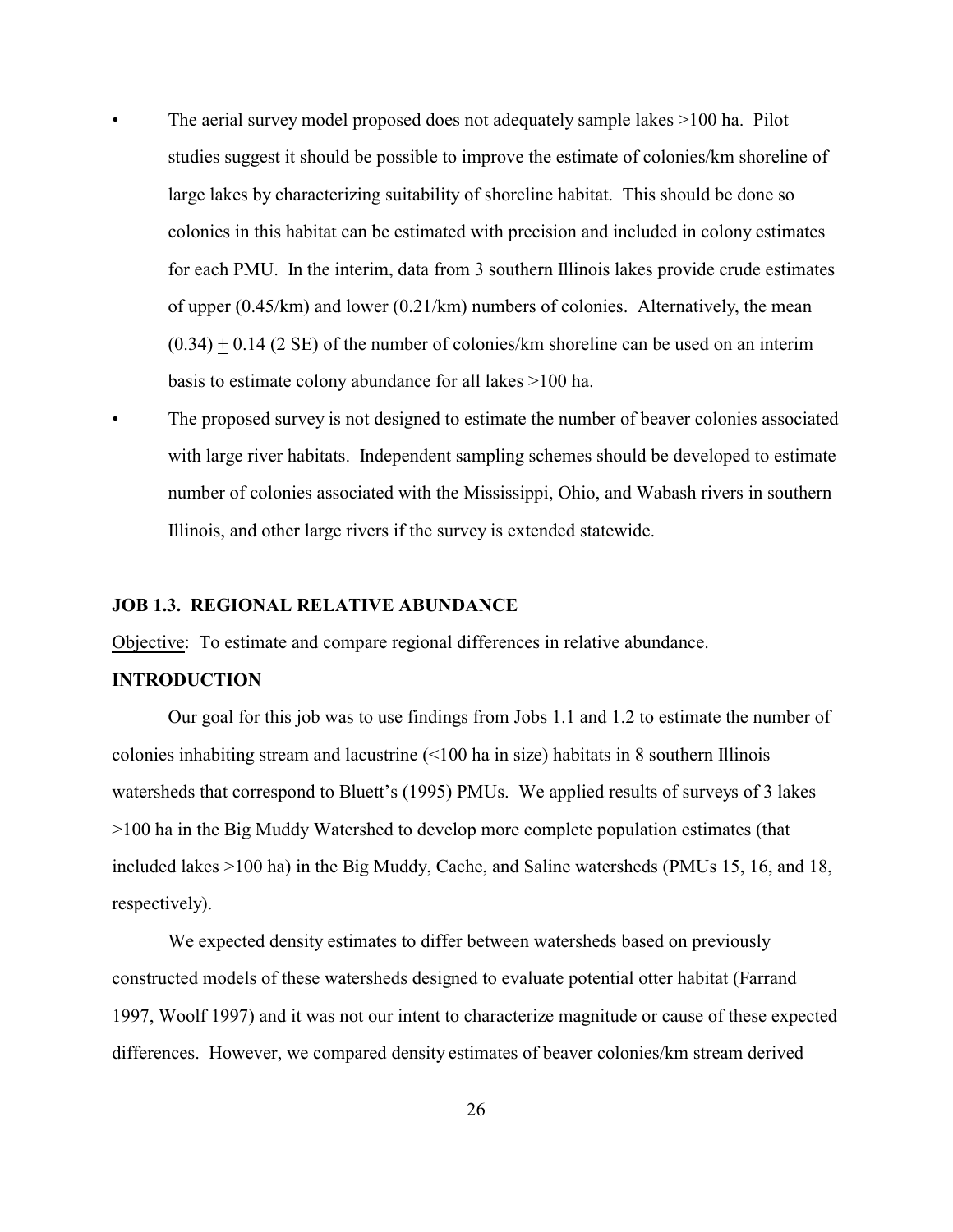- The aerial survey model proposed does not adequately sample lakes >100 ha. Pilot studies suggest it should be possible to improve the estimate of colonies/km shoreline of large lakes by characterizing suitability of shoreline habitat. This should be done so colonies in this habitat can be estimated with precision and included in colony estimates for each PMU. In the interim, data from 3 southern Illinois lakes provide crude estimates of upper (0.45/km) and lower (0.21/km) numbers of colonies. Alternatively, the mean  $(0.34) + 0.14$  (2 SE) of the number of colonies/km shoreline can be used on an interim basis to estimate colony abundance for all lakes >100 ha.
- The proposed survey is not designed to estimate the number of beaver colonies associated with large river habitats. Independent sampling schemes should be developed to estimate number of colonies associated with the Mississippi, Ohio, and Wabash rivers in southern Illinois, and other large rivers if the survey is extended statewide.

### **JOB 1.3. REGIONAL RELATIVE ABUNDANCE**

Objective: To estimate and compare regional differences in relative abundance.

### **INTRODUCTION**

Our goal for this job was to use findings from Jobs 1.1 and 1.2 to estimate the number of colonies inhabiting stream and lacustrine (<100 ha in size) habitats in 8 southern Illinois watersheds that correspond to Bluett's (1995) PMUs. We applied results of surveys of 3 lakes >100 ha in the Big Muddy Watershed to develop more complete population estimates (that included lakes >100 ha) in the Big Muddy, Cache, and Saline watersheds (PMUs 15, 16, and 18, respectively).

We expected density estimates to differ between watersheds based on previously constructed models of these watersheds designed to evaluate potential otter habitat (Farrand 1997, Woolf 1997) and it was not our intent to characterize magnitude or cause of these expected differences. However, we compared density estimates of beaver colonies/km stream derived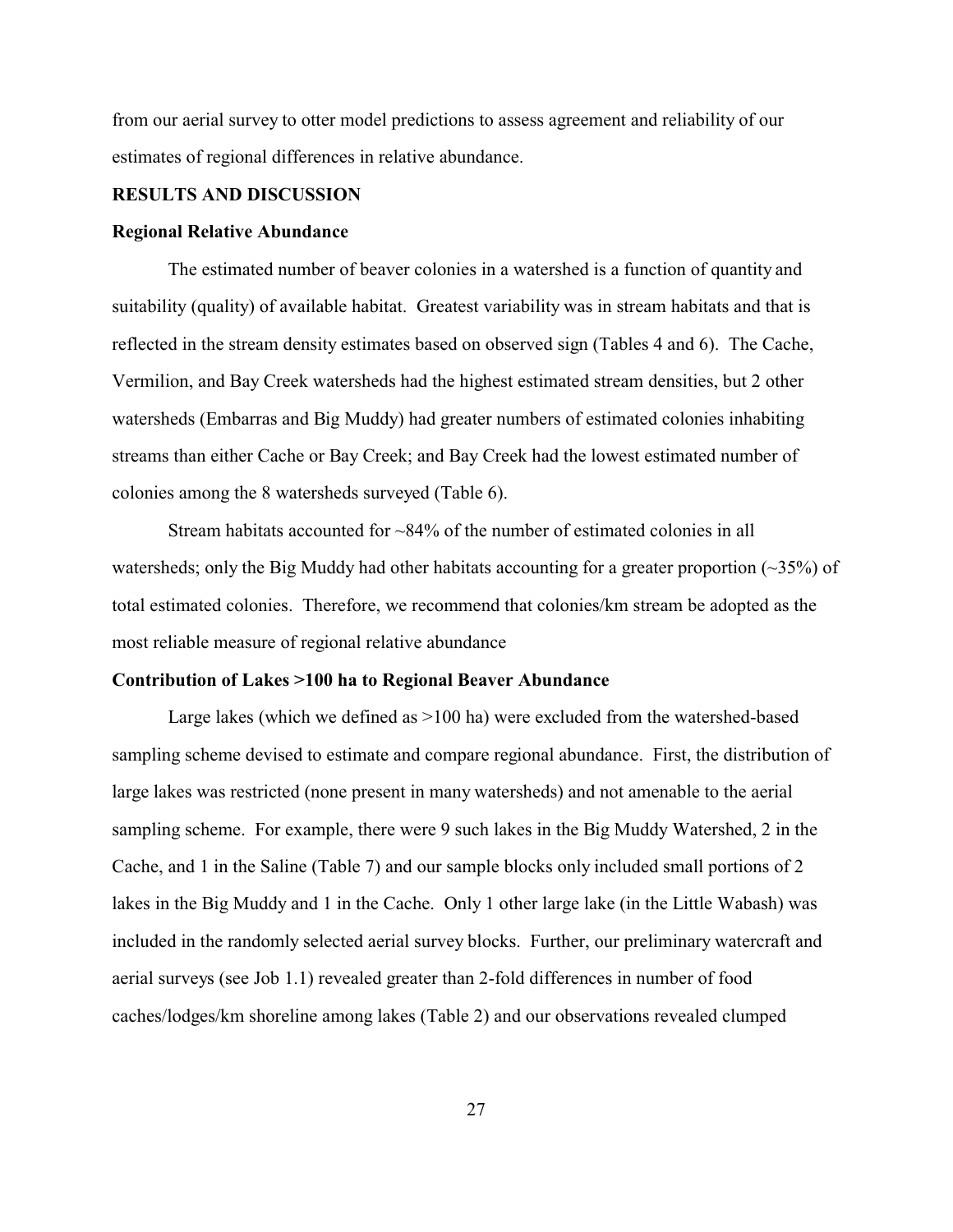from our aerial survey to otter model predictions to assess agreement and reliability of our estimates of regional differences in relative abundance.

### **RESULTS AND DISCUSSION**

### **Regional Relative Abundance**

The estimated number of beaver colonies in a watershed is a function of quantity and suitability (quality) of available habitat. Greatest variability was in stream habitats and that is reflected in the stream density estimates based on observed sign (Tables 4 and 6). The Cache, Vermilion, and Bay Creek watersheds had the highest estimated stream densities, but 2 other watersheds (Embarras and Big Muddy) had greater numbers of estimated colonies inhabiting streams than either Cache or Bay Creek; and Bay Creek had the lowest estimated number of colonies among the 8 watersheds surveyed (Table 6).

Stream habitats accounted for ~84% of the number of estimated colonies in all watersheds; only the Big Muddy had other habitats accounting for a greater proportion  $(\sim 35\%)$  of total estimated colonies. Therefore, we recommend that colonies/km stream be adopted as the most reliable measure of regional relative abundance

### **Contribution of Lakes >100 ha to Regional Beaver Abundance**

Large lakes (which we defined as >100 ha) were excluded from the watershed-based sampling scheme devised to estimate and compare regional abundance. First, the distribution of large lakes was restricted (none present in many watersheds) and not amenable to the aerial sampling scheme. For example, there were 9 such lakes in the Big Muddy Watershed, 2 in the Cache, and 1 in the Saline (Table 7) and our sample blocks only included small portions of 2 lakes in the Big Muddy and 1 in the Cache. Only 1 other large lake (in the Little Wabash) was included in the randomly selected aerial survey blocks. Further, our preliminary watercraft and aerial surveys (see Job 1.1) revealed greater than 2-fold differences in number of food caches/lodges/km shoreline among lakes (Table 2) and our observations revealed clumped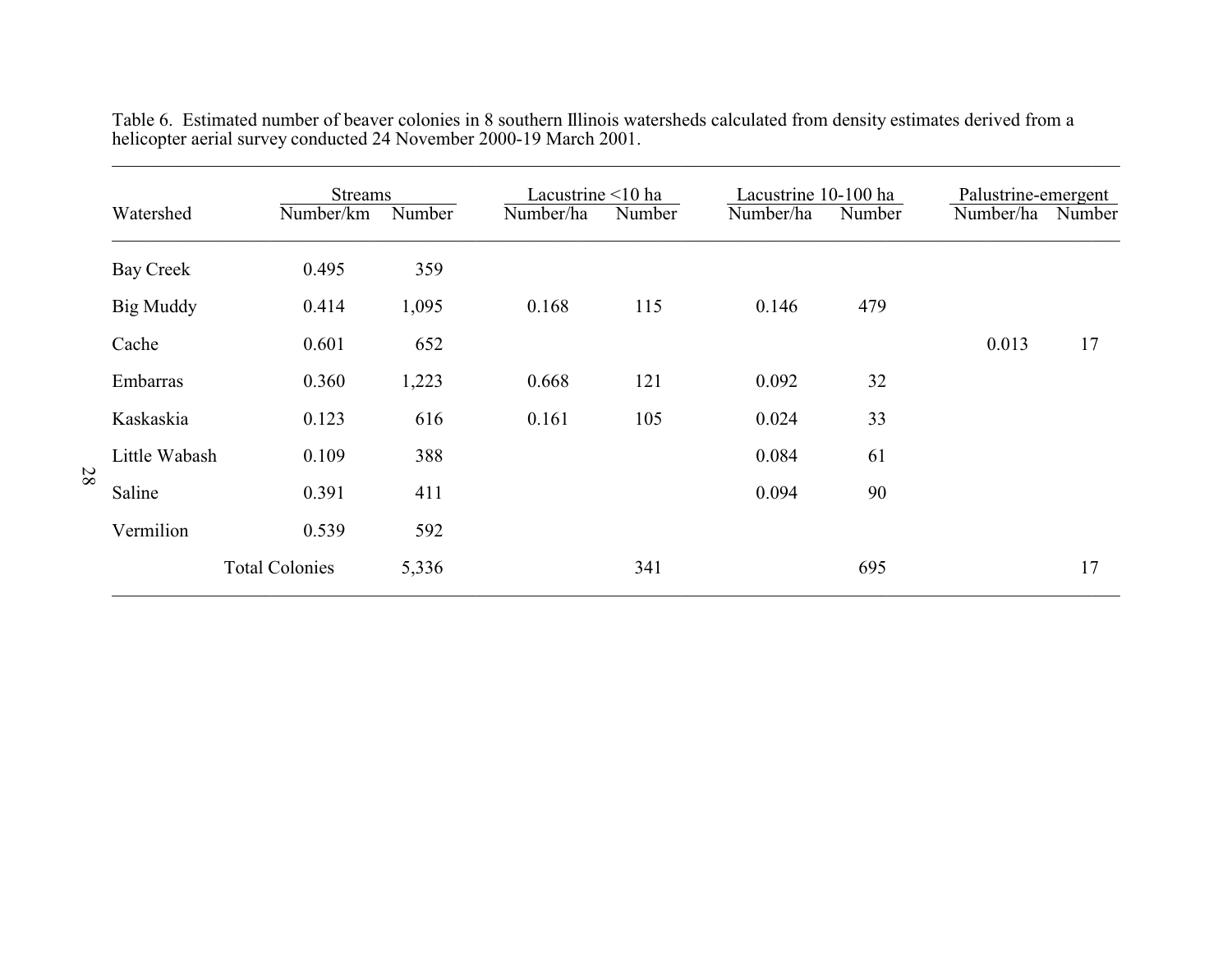| Watershed     | <b>Streams</b><br>Number/km | Number | Lacustrine $\leq 10$ ha<br>Number/ha | Number | Lacustrine 10-100 ha<br>Number/ha | Number | Palustrine-emergent<br>Number/ha | Number |
|---------------|-----------------------------|--------|--------------------------------------|--------|-----------------------------------|--------|----------------------------------|--------|
| Bay Creek     | 0.495                       | 359    |                                      |        |                                   |        |                                  |        |
| Big Muddy     | 0.414                       | 1,095  | 0.168                                | 115    | 0.146                             | 479    |                                  |        |
| Cache         | 0.601                       | 652    |                                      |        |                                   |        | 0.013                            | 17     |
| Embarras      | 0.360                       | 1,223  | 0.668                                | 121    | 0.092                             | 32     |                                  |        |
| Kaskaskia     | 0.123                       | 616    | 0.161                                | 105    | 0.024                             | 33     |                                  |        |
| Little Wabash | 0.109                       | 388    |                                      |        | 0.084                             | 61     |                                  |        |
| Saline        | 0.391                       | 411    |                                      |        | 0.094                             | 90     |                                  |        |
| Vermilion     | 0.539                       | 592    |                                      |        |                                   |        |                                  |        |
|               | <b>Total Colonies</b>       | 5,336  |                                      | 341    |                                   | 695    |                                  | 17     |

Table 6. Estimated number of beaver colonies in 8 southern Illinois watersheds calculated from density estimates derived from a helicopter aerial survey conducted 24 November 2000-19 March 2001. \_\_\_\_\_\_\_\_\_\_\_\_\_\_\_\_\_\_\_\_\_\_\_\_\_\_\_\_\_\_\_\_\_\_\_\_\_\_\_\_\_\_\_\_\_\_\_\_\_\_\_\_\_\_\_\_\_\_\_\_\_\_\_\_\_\_\_\_\_\_\_\_\_\_\_\_\_\_\_\_\_\_\_\_\_\_\_\_\_\_\_\_\_\_\_\_\_\_\_\_\_\_\_\_\_\_\_\_

28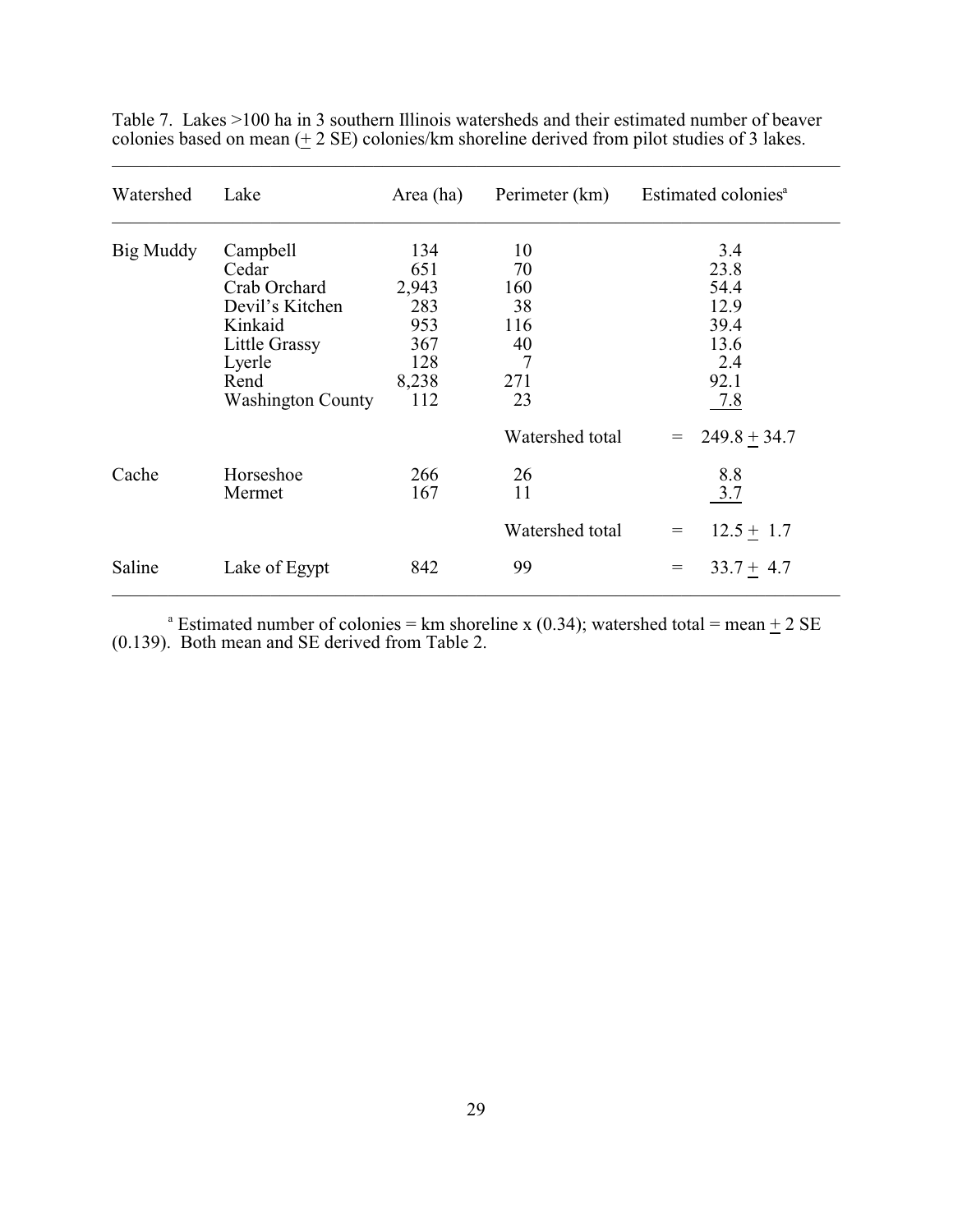| Watershed | Lake                     | Area (ha) | Perimeter (km)  | Estimated colonies <sup>a</sup> |
|-----------|--------------------------|-----------|-----------------|---------------------------------|
| Big Muddy | Campbell                 | 134       | 10              | 3.4                             |
|           | Cedar                    | 651       | 70              | 23.8                            |
|           | Crab Orchard             | 2,943     | 160             | 54.4                            |
|           | Devil's Kitchen          | 283       | 38              | 12.9                            |
|           | Kinkaid                  | 953       | 116             | 39.4                            |
|           | Little Grassy            | 367       | 40              | 13.6                            |
|           | Lyerle                   | 128       | 7               | 2.4                             |
|           | Rend                     | 8,238     | 271             | 92.1                            |
|           | <b>Washington County</b> | 112       | 23              | 7.8                             |
|           |                          |           | Watershed total | $249.8 + 34.7$<br>$=$           |
| Cache     | Horseshoe                | 266       | 26              | 8.8                             |
|           | Mermet                   | 167       | 11              | 3.7                             |
|           |                          |           | Watershed total | $12.5 + 1.7$<br>$=$             |
| Saline    | Lake of Egypt            | 842       | 99              | $33.7 + 4.7$<br>$=$             |

Table 7. Lakes >100 ha in 3 southern Illinois watersheds and their estimated number of beaver colonies based on mean  $(± 2 SE)$  colonies/km shoreline derived from pilot studies of 3 lakes.

\_\_\_\_\_\_\_\_\_\_\_\_\_\_\_\_\_\_\_\_\_\_\_\_\_\_\_\_\_\_\_\_\_\_\_\_\_\_\_\_\_\_\_\_\_\_\_\_\_\_\_\_\_\_\_\_\_\_\_\_\_\_\_\_\_\_\_\_\_\_\_\_\_\_\_\_\_\_

<sup>a</sup> Estimated number of colonies = km shoreline x (0.34); watershed total = mean  $\pm$  2 SE (0.139). Both mean and SE derived from Table 2.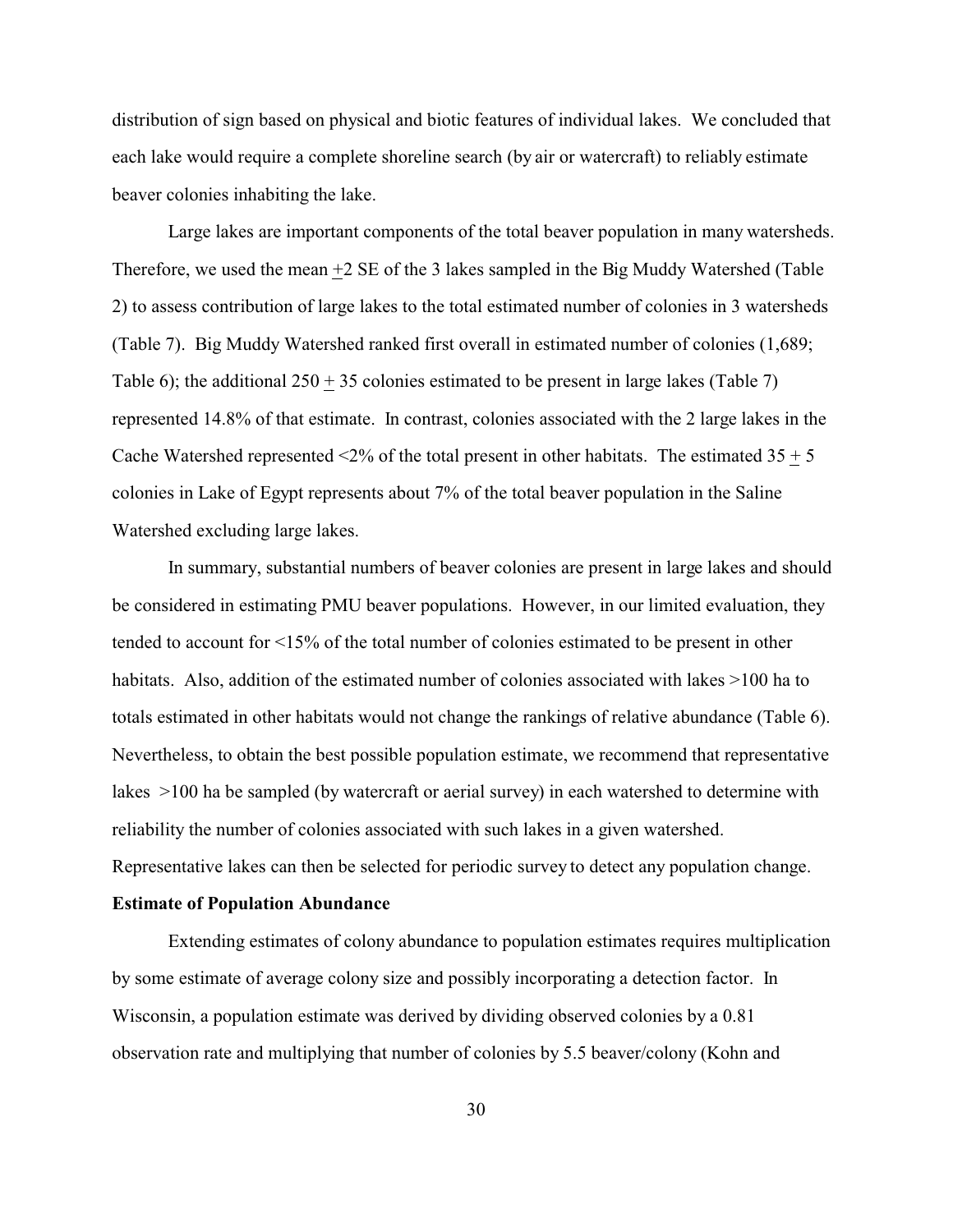distribution of sign based on physical and biotic features of individual lakes. We concluded that each lake would require a complete shoreline search (by air or watercraft) to reliably estimate beaver colonies inhabiting the lake.

Large lakes are important components of the total beaver population in many watersheds. Therefore, we used the mean +2 SE of the 3 lakes sampled in the Big Muddy Watershed (Table 2) to assess contribution of large lakes to the total estimated number of colonies in 3 watersheds (Table 7). Big Muddy Watershed ranked first overall in estimated number of colonies (1,689; Table 6); the additional  $250 + 35$  colonies estimated to be present in large lakes (Table 7) represented 14.8% of that estimate. In contrast, colonies associated with the 2 large lakes in the Cache Watershed represented  $\langle 2\%$  of the total present in other habitats. The estimated  $35 + 5$ colonies in Lake of Egypt represents about 7% of the total beaver population in the Saline Watershed excluding large lakes.

In summary, substantial numbers of beaver colonies are present in large lakes and should be considered in estimating PMU beaver populations. However, in our limited evaluation, they tended to account for <15% of the total number of colonies estimated to be present in other habitats. Also, addition of the estimated number of colonies associated with lakes >100 ha to totals estimated in other habitats would not change the rankings of relative abundance (Table 6). Nevertheless, to obtain the best possible population estimate, we recommend that representative lakes >100 ha be sampled (by watercraft or aerial survey) in each watershed to determine with reliability the number of colonies associated with such lakes in a given watershed. Representative lakes can then be selected for periodic survey to detect any population change.

### **Estimate of Population Abundance**

Extending estimates of colony abundance to population estimates requires multiplication by some estimate of average colony size and possibly incorporating a detection factor. In Wisconsin, a population estimate was derived by dividing observed colonies by a 0.81 observation rate and multiplying that number of colonies by 5.5 beaver/colony (Kohn and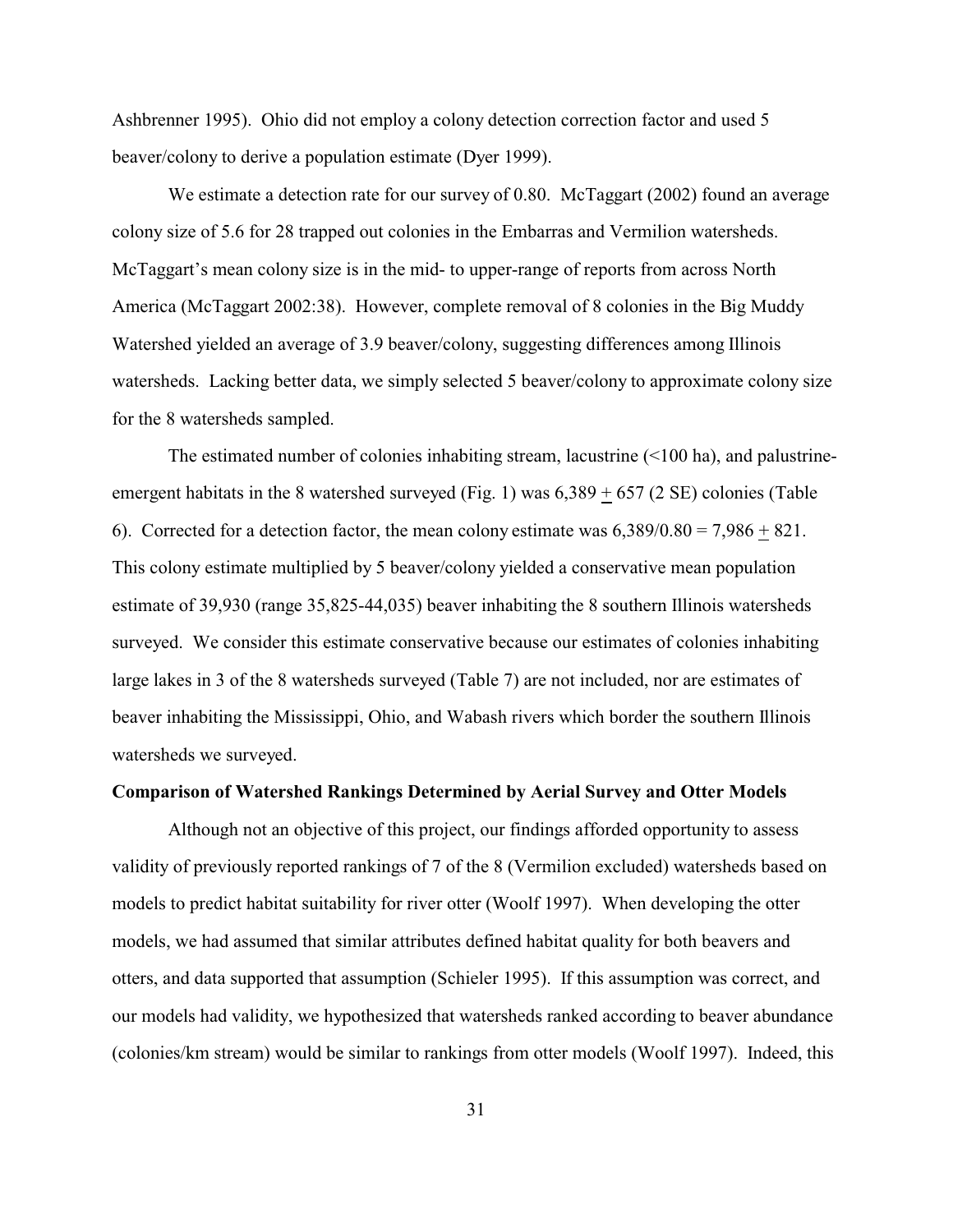Ashbrenner 1995). Ohio did not employ a colony detection correction factor and used 5 beaver/colony to derive a population estimate (Dyer 1999).

We estimate a detection rate for our survey of 0.80. McTaggart (2002) found an average colony size of 5.6 for 28 trapped out colonies in the Embarras and Vermilion watersheds. McTaggart's mean colony size is in the mid- to upper-range of reports from across North America (McTaggart 2002:38). However, complete removal of 8 colonies in the Big Muddy Watershed yielded an average of 3.9 beaver/colony, suggesting differences among Illinois watersheds. Lacking better data, we simply selected 5 beaver/colony to approximate colony size for the 8 watersheds sampled.

The estimated number of colonies inhabiting stream, lacustrine (<100 ha), and palustrineemergent habitats in the 8 watershed surveyed (Fig. 1) was  $6,389 + 657$  (2 SE) colonies (Table 6). Corrected for a detection factor, the mean colony estimate was  $6,389/0.80 = 7,986 + 821$ . This colony estimate multiplied by 5 beaver/colony yielded a conservative mean population estimate of 39,930 (range 35,825-44,035) beaver inhabiting the 8 southern Illinois watersheds surveyed. We consider this estimate conservative because our estimates of colonies inhabiting large lakes in 3 of the 8 watersheds surveyed (Table 7) are not included, nor are estimates of beaver inhabiting the Mississippi, Ohio, and Wabash rivers which border the southern Illinois watersheds we surveyed.

#### **Comparison of Watershed Rankings Determined by Aerial Survey and Otter Models**

Although not an objective of this project, our findings afforded opportunity to assess validity of previously reported rankings of 7 of the 8 (Vermilion excluded) watersheds based on models to predict habitat suitability for river otter (Woolf 1997). When developing the otter models, we had assumed that similar attributes defined habitat quality for both beavers and otters, and data supported that assumption (Schieler 1995). If this assumption was correct, and our models had validity, we hypothesized that watersheds ranked according to beaver abundance (colonies/km stream) would be similar to rankings from otter models (Woolf 1997). Indeed, this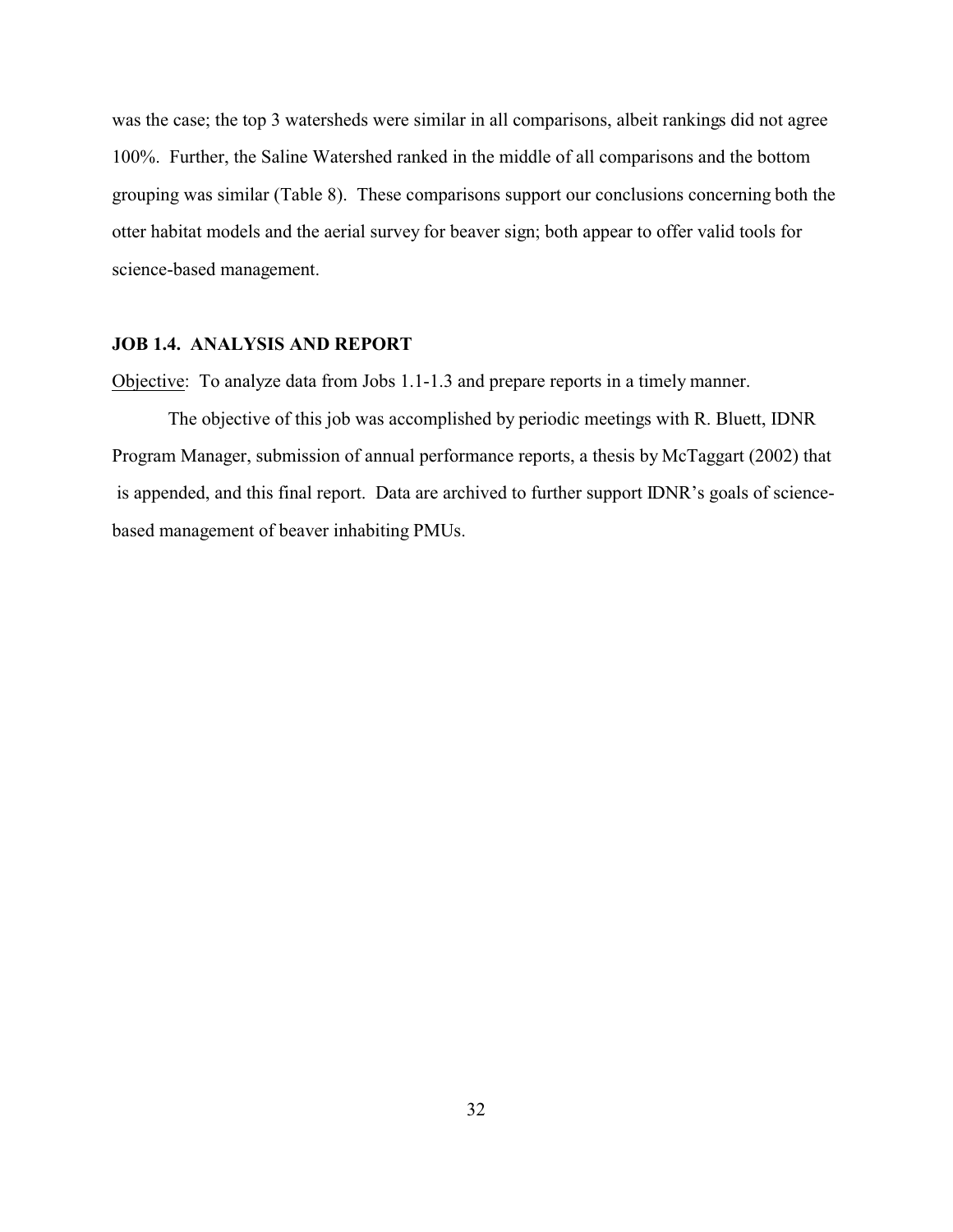was the case; the top 3 watersheds were similar in all comparisons, albeit rankings did not agree 100%. Further, the Saline Watershed ranked in the middle of all comparisons and the bottom grouping was similar (Table 8). These comparisons support our conclusions concerning both the otter habitat models and the aerial survey for beaver sign; both appear to offer valid tools for science-based management.

### **JOB 1.4. ANALYSIS AND REPORT**

Objective: To analyze data from Jobs 1.1-1.3 and prepare reports in a timely manner.

The objective of this job was accomplished by periodic meetings with R. Bluett, IDNR Program Manager, submission of annual performance reports, a thesis by McTaggart (2002) that is appended, and this final report. Data are archived to further support IDNR's goals of sciencebased management of beaver inhabiting PMUs.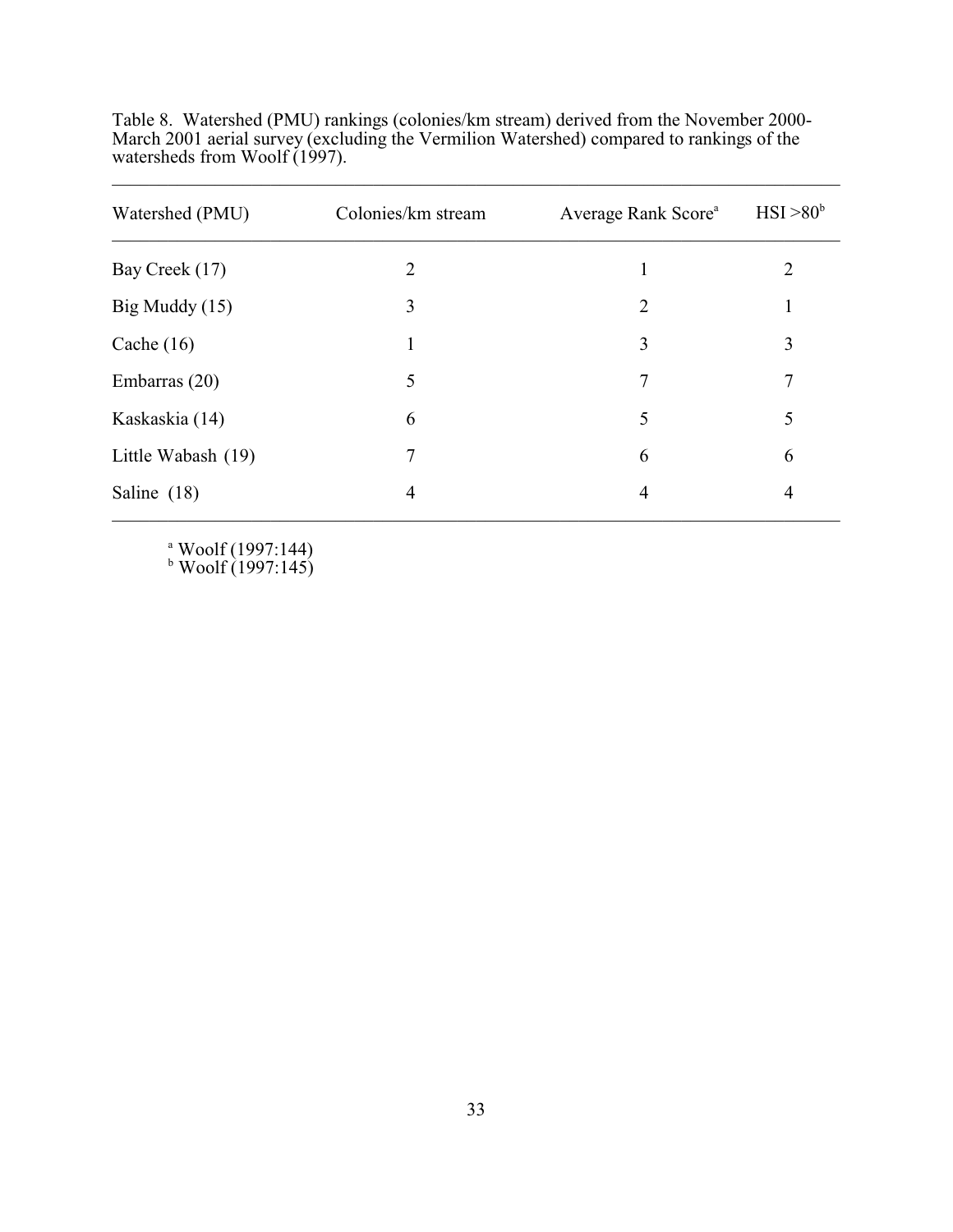| Watershed (PMU)    | Colonies/km stream | Average Rank Score <sup>a</sup> | HSI > 80 <sup>b</sup> |
|--------------------|--------------------|---------------------------------|-----------------------|
| Bay Creek (17)     | $\overline{2}$     |                                 | 2                     |
| Big Muddy $(15)$   | 3                  | $\overline{2}$                  | 1                     |
| Cache $(16)$       | 1                  | 3                               | 3                     |
| Embarras (20)      | 5                  | 7                               | 7                     |
| Kaskaskia (14)     | 6                  | 5                               | 5                     |
| Little Wabash (19) | 7                  | 6                               | 6                     |
| Saline $(18)$      | 4                  | $\overline{4}$                  | $\overline{4}$        |

Table 8. Watershed (PMU) rankings (colonies/km stream) derived from the November 2000- March 2001 aerial survey (excluding the Vermilion Watershed) compared to rankings of the watersheds from Woolf (1997).

\_\_\_\_\_\_\_\_\_\_\_\_\_\_\_\_\_\_\_\_\_\_\_\_\_\_\_\_\_\_\_\_\_\_\_\_\_\_\_\_\_\_\_\_\_\_\_\_\_\_\_\_\_\_\_\_\_\_\_\_\_\_\_\_\_\_\_\_\_\_\_\_\_\_\_\_\_\_

a Woolf (1997:144) b Woolf (1997:145)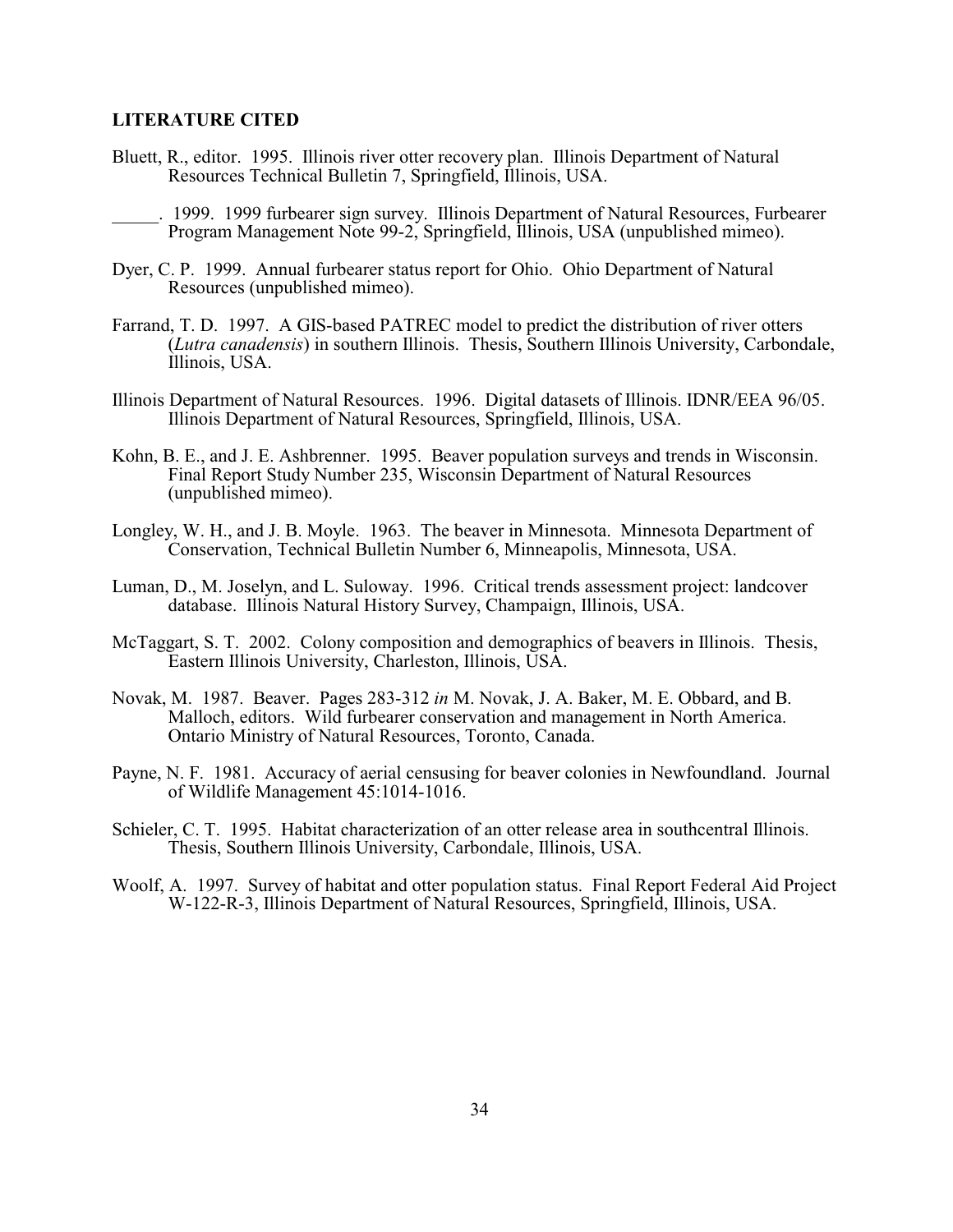### **LITERATURE CITED**

- Bluett, R., editor. 1995. Illinois river otter recovery plan. Illinois Department of Natural Resources Technical Bulletin 7, Springfield, Illinois, USA.
- \_\_\_\_\_. 1999. 1999 furbearer sign survey. Illinois Department of Natural Resources, Furbearer Program Management Note 99-2, Springfield, Illinois, USA (unpublished mimeo).
- Dyer, C. P. 1999. Annual furbearer status report for Ohio. Ohio Department of Natural Resources (unpublished mimeo).
- Farrand, T. D. 1997. A GIS-based PATREC model to predict the distribution of river otters (*Lutra canadensis*) in southern Illinois. Thesis, Southern Illinois University, Carbondale, Illinois, USA.
- Illinois Department of Natural Resources. 1996. Digital datasets of Illinois. IDNR/EEA 96/05. Illinois Department of Natural Resources, Springfield, Illinois, USA.
- Kohn, B. E., and J. E. Ashbrenner. 1995. Beaver population surveys and trends in Wisconsin. Final Report Study Number 235, Wisconsin Department of Natural Resources (unpublished mimeo).
- Longley, W. H., and J. B. Moyle. 1963. The beaver in Minnesota. Minnesota Department of Conservation, Technical Bulletin Number 6, Minneapolis, Minnesota, USA.
- Luman, D., M. Joselyn, and L. Suloway. 1996. Critical trends assessment project: landcover database. Illinois Natural History Survey, Champaign, Illinois, USA.
- McTaggart, S. T. 2002. Colony composition and demographics of beavers in Illinois. Thesis, Eastern Illinois University, Charleston, Illinois, USA.
- Novak, M. 1987. Beaver. Pages 283-312 *in* M. Novak, J. A. Baker, M. E. Obbard, and B. Malloch, editors. Wild furbearer conservation and management in North America. Ontario Ministry of Natural Resources, Toronto, Canada.
- Payne, N. F. 1981. Accuracy of aerial censusing for beaver colonies in Newfoundland. Journal of Wildlife Management 45:1014-1016.
- Schieler, C. T. 1995. Habitat characterization of an otter release area in southcentral Illinois. Thesis, Southern Illinois University, Carbondale, Illinois, USA.
- Woolf, A. 1997. Survey of habitat and otter population status. Final Report Federal Aid Project W-122-R-3, Illinois Department of Natural Resources, Springfield, Illinois, USA.